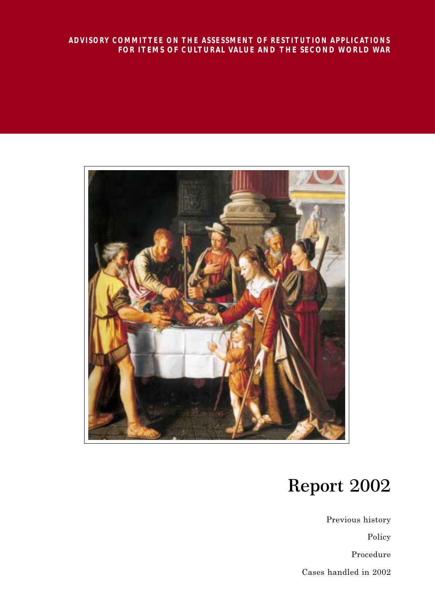#### *ADVISORY COMMITTEE ON THE ASSESSMENT OF RESTITUTION APPLICATIONS* **FOR ITEMS OF CULTURAL VALUE AND THE SECOND WORLD WAR**



# **Report 2002**

Previous history Policy Procedure Cases handled in 2002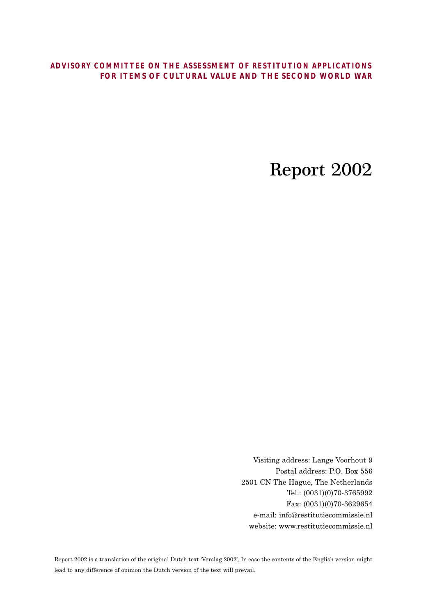## *ADVISORY COMMITTEE ON THE ASSESSMENT OF RESTITUTION APPLICATIONS* **FOR ITEMS OF CULTURAL VALUE AND THE SECOND WORLD WAR**

## **Report 2002**

Visiting address: Lange Voorhout 9 Postal address: P.O. Box 556 2501 CN The Hague, The Netherlands Tel.: (0031)(0)70-3765992 Fax: (0031)(0)70-3629654 e-mail: info@restitutiecommissie.nl website: www.restitutiecommissie.nl

Report 2002 is a translation of the original Dutch text 'Verslag 2002'. In case the contents of the English version might lead to any difference of opinion the Dutch version of the text will prevail.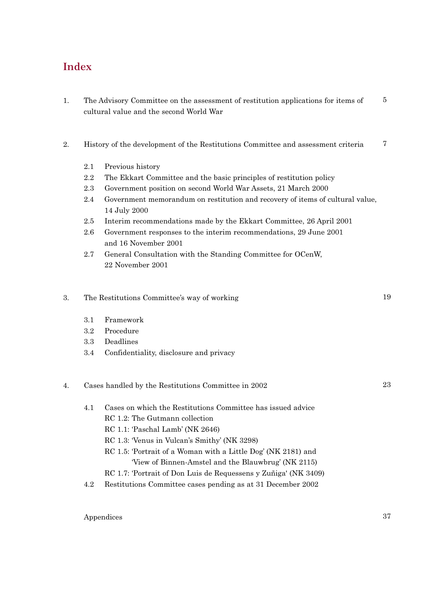## **Index**

- 1. The Advisory Committee on the assessment of restitution applications for items of cultural value and the second World War 5
- 2. History of the development of the Restitutions Committee and assessment criteria 7
	- 2.1 Previous history
	- 2.2 The Ekkart Committee and the basic principles of restitution policy
	- 2.3 Government position on second World War Assets, 21 March 2000
	- 2.4 Government memorandum on restitution and recovery of items of cultural value, 14 July 2000
	- 2.5 Interim recommendations made by the Ekkart Committee, 26 April 2001
	- 2.6 Government responses to the interim recommendations, 29 June 2001 and 16 November 2001
	- 2.7 General Consultation with the Standing Committee for OCenW, 22 November 2001

#### 3. The Restitutions Committee's way of working

- 3.1 Framework
- 3.2 Procedure
- 3.3 Deadlines
- 3.4 Confidentiality, disclosure and privacy

#### 4. Cases handled by the Restitutions Committee in 2002

- 4.1 Cases on which the Restitutions Committee has issued advice
	- RC 1.2: The Gutmann collection
	- RC 1.1: 'Paschal Lamb' (NK 2646)
	- RC 1.3: 'Venus in Vulcan's Smithy' (NK 3298)
	- RC 1.5: 'Portrait of a Woman with a Little Dog' (NK 2181) and 'View of Binnen-Amstel and the Blauwbrug' (NK 2115)
	- RC 1.7: 'Portrait of Don Luis de Requessens y Zuñiga' (NK 3409)
- 4.2 Restitutions Committee cases pending as at 31 December 2002

#### Appendices

19

23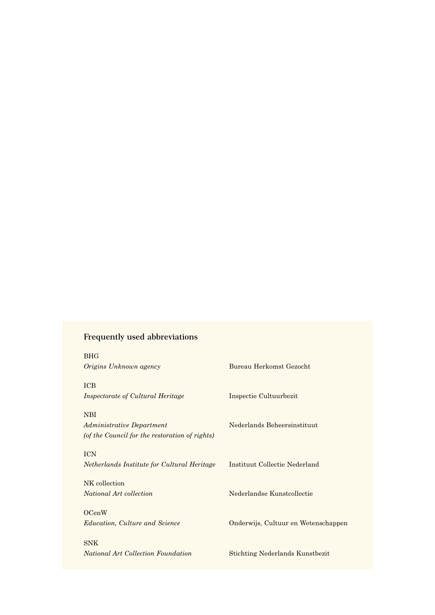## **Frequently used abbreviations**

| <b>BHG</b><br>Origins Unknown agency           | Bureau Herkomst Gezocht                |
|------------------------------------------------|----------------------------------------|
| <b>ICB</b>                                     |                                        |
| <i>Inspectorate of Cultural Heritage</i>       | Inspectie Cultuurbezit                 |
| <b>NBI</b>                                     |                                        |
| Administrative Department                      | Nederlands Beheersinstituut            |
| (of the Council for the restoration of rights) |                                        |
| <b>ICN</b>                                     |                                        |
| Netherlands Institute for Cultural Heritage    | Instituut Collectie Nederland          |
| NK collection                                  |                                        |
| National Art collection                        | Nederlandse Kunstcollectie             |
|                                                |                                        |
| OCenW                                          |                                        |
| <i>Education, Culture and Science</i>          | Onderwijs, Cultuur en Wetenschappen    |
| <b>SNK</b>                                     |                                        |
| National Art Collection Foundation             | <b>Stichting Nederlands Kunstbezit</b> |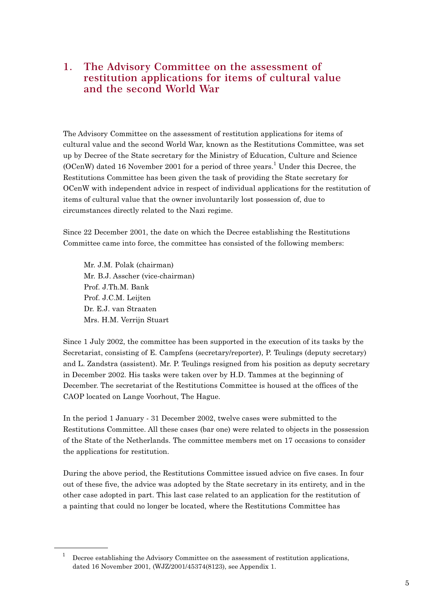## **1. The Advisory Committee on the assessment of restitution applications for items of cultural value and the second World War**

The Advisory Committee on the assessment of restitution applications for items of cultural value and the second World War, known as the Restitutions Committee, was set up by Decree of the State secretary for the Ministry of Education, Culture and Science (OCenW) dated 16 November 2001 for a period of three years.<sup>1</sup> Under this Decree, the Restitutions Committee has been given the task of providing the State secretary for OCenW with independent advice in respect of individual applications for the restitution of items of cultural value that the owner involuntarily lost possession of, due to circumstances directly related to the Nazi regime.

Since 22 December 2001, the date on which the Decree establishing the Restitutions Committee came into force, the committee has consisted of the following members:

Mr. J.M. Polak (chairman) Mr. B.J. Asscher (vice-chairman) Prof. J.Th.M. Bank Prof. J.C.M. Leijten Dr. E.J. van Straaten Mrs. H.M. Verrijn Stuart

Since 1 July 2002, the committee has been supported in the execution of its tasks by the Secretariat, consisting of E. Campfens (secretary/reporter), P. Teulings (deputy secretary) and L. Zandstra (assistent). Mr. P. Teulings resigned from his position as deputy secretary in December 2002. His tasks were taken over by H.D. Tammes at the beginning of December. The secretariat of the Restitutions Committee is housed at the offices of the CAOP located on Lange Voorhout, The Hague.

In the period 1 January - 31 December 2002, twelve cases were submitted to the Restitutions Committee. All these cases (bar one) were related to objects in the possession of the State of the Netherlands. The committee members met on 17 occasions to consider the applications for restitution.

During the above period, the Restitutions Committee issued advice on five cases. In four out of these five, the advice was adopted by the State secretary in its entirety, and in the other case adopted in part. This last case related to an application for the restitution of a painting that could no longer be located, where the Restitutions Committee has

Decree establishing the Advisory Committee on the assessment of restitution applications, dated 16 November 2001, (WJZ/2001/45374(8123), see Appendix 1.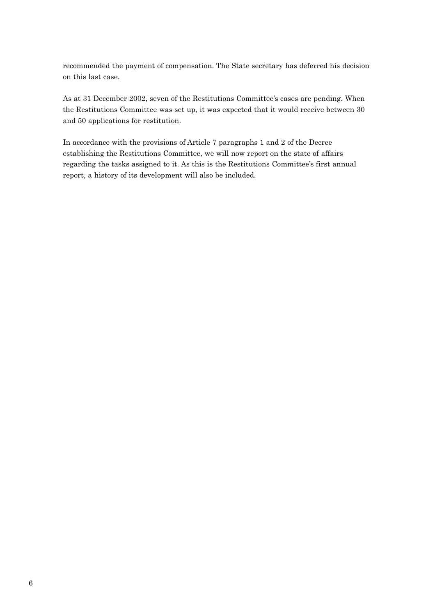recommended the payment of compensation. The State secretary has deferred his decision on this last case.

As at 31 December 2002, seven of the Restitutions Committee's cases are pending. When the Restitutions Committee was set up, it was expected that it would receive between 30 and 50 applications for restitution.

In accordance with the provisions of Article 7 paragraphs 1 and 2 of the Decree establishing the Restitutions Committee, we will now report on the state of affairs regarding the tasks assigned to it. As this is the Restitutions Committee's first annual report, a history of its development will also be included.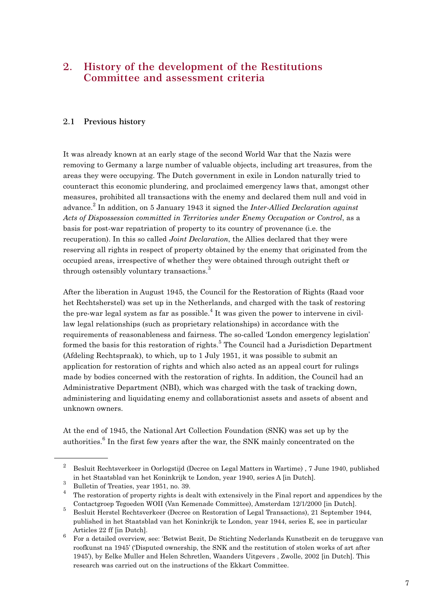## **2. History of the development of the Restitutions Committee and assessment criteria**

#### **2.1 Previous history**

It was already known at an early stage of the second World War that the Nazis were removing to Germany a large number of valuable objects, including art treasures, from the areas they were occupying. The Dutch government in exile in London naturally tried to counteract this economic plundering, and proclaimed emergency laws that, amongst other measures, prohibited all transactions with the enemy and declared them null and void in advance.<sup>2</sup> In addition, on 5 January 1943 it signed the *Inter-Allied Declaration against Acts of Dispossession committed in Territories under Enemy Occupation or Control*, as a basis for post-war repatriation of property to its country of provenance (i.e. the recuperation). In this so called *Joint Declaration*, the Allies declared that they were reserving all rights in respect of property obtained by the enemy that originated from the occupied areas, irrespective of whether they were obtained through outright theft or through ostensibly voluntary transactions.<sup>3</sup>

After the liberation in August 1945, the Council for the Restoration of Rights (Raad voor het Rechtsherstel) was set up in the Netherlands, and charged with the task of restoring the pre-war legal system as far as possible.<sup>4</sup> It was given the power to intervene in civillaw legal relationships (such as proprietary relationships) in accordance with the requirements of reasonableness and fairness. The so-called 'London emergency legislation' formed the basis for this restoration of rights.<sup>5</sup> The Council had a Jurisdiction Department (Afdeling Rechtspraak), to which, up to 1 July 1951, it was possible to submit an application for restoration of rights and which also acted as an appeal court for rulings made by bodies concerned with the restoration of rights. In addition, the Council had an Administrative Department (NBI), which was charged with the task of tracking down, administering and liquidating enemy and collaborationist assets and assets of absent and unknown owners.

At the end of 1945, the National Art Collection Foundation (SNK) was set up by the authorities.<sup>6</sup> In the first few years after the war, the SNK mainly concentrated on the

<sup>&</sup>lt;sup>2</sup> Besluit Rechtsverkeer in Oorlogstijd (Decree on Legal Matters in Wartime), 7 June 1940, published in het Staatsblad van het Koninkrijk te London, year 1940, series A [in Dutch].

 $\frac{3}{4}$  Bulletin of Treaties, year 1951, no. 39.

<sup>4</sup> The restoration of property rights is dealt with extensively in the Final report and appendices by the Contactgroep Tegoeden WOII (Van Kemenade Committee), Amsterdam 12/1/2000 [in Dutch].

<sup>5</sup> Besluit Herstel Rechtsverkeer (Decree on Restoration of Legal Transactions), 21 September 1944, published in het Staatsblad van het Koninkrijk te London, year 1944, series E, see in particular Articles 22 ff [in Dutch].

<sup>6</sup> For a detailed overview, see: 'Betwist Bezit, De Stichting Nederlands Kunstbezit en de teruggave van roofkunst na 1945' ('Disputed ownership, the SNK and the restitution of stolen works of art after 1945'), by Eelke Muller and Helen Schretlen, Waanders Uitgevers , Zwolle, 2002 [in Dutch]. This research was carried out on the instructions of the Ekkart Committee.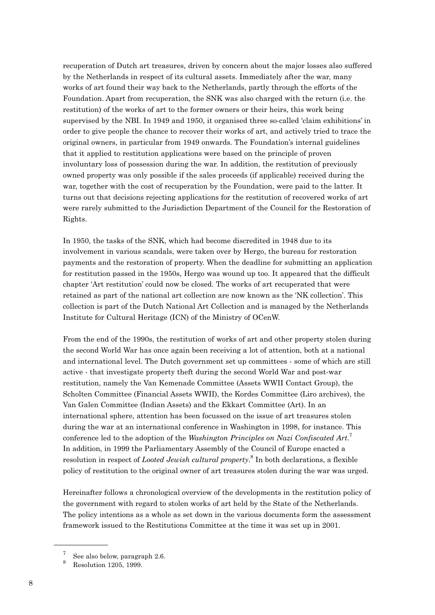recuperation of Dutch art treasures, driven by concern about the major losses also suffered by the Netherlands in respect of its cultural assets. Immediately after the war, many works of art found their way back to the Netherlands, partly through the efforts of the Foundation. Apart from recuperation, the SNK was also charged with the return (i.e. the restitution) of the works of art to the former owners or their heirs, this work being supervised by the NBI. In 1949 and 1950, it organised three so-called 'claim exhibitions' in order to give people the chance to recover their works of art, and actively tried to trace the original owners, in particular from 1949 onwards. The Foundation's internal guidelines that it applied to restitution applications were based on the principle of proven involuntary loss of possession during the war. In addition, the restitution of previously owned property was only possible if the sales proceeds (if applicable) received during the war, together with the cost of recuperation by the Foundation, were paid to the latter. It turns out that decisions rejecting applications for the restitution of recovered works of art were rarely submitted to the Jurisdiction Department of the Council for the Restoration of Rights.

In 1950, the tasks of the SNK, which had become discredited in 1948 due to its involvement in various scandals, were taken over by Hergo, the bureau for restoration payments and the restoration of property. When the deadline for submitting an application for restitution passed in the 1950s, Hergo was wound up too. It appeared that the difficult chapter 'Art restitution' could now be closed. The works of art recuperated that were retained as part of the national art collection are now known as the 'NK collection'. This collection is part of the Dutch National Art Collection and is managed by the Netherlands Institute for Cultural Heritage (ICN) of the Ministry of OCenW.

From the end of the 1990s, the restitution of works of art and other property stolen during the second World War has once again been receiving a lot of attention, both at a national and international level. The Dutch government set up committees - some of which are still active - that investigate property theft during the second World War and post-war restitution, namely the Van Kemenade Committee (Assets WWII Contact Group), the Scholten Committee (Financial Assets WWII), the Kordes Committee (Liro archives), the Van Galen Committee (Indian Assets) and the Ekkart Committee (Art). In an international sphere, attention has been focussed on the issue of art treasures stolen during the war at an international conference in Washington in 1998, for instance. This conference led to the adoption of the *Washington Principles on Nazi Confiscated Art*. 7 In addition, in 1999 the Parliamentary Assembly of the Council of Europe enacted a resolution in respect of *Looted Jewish cultural property*. <sup>8</sup> In both declarations, a flexible policy of restitution to the original owner of art treasures stolen during the war was urged.

Hereinafter follows a chronological overview of the developments in the restitution policy of the government with regard to stolen works of art held by the State of the Netherlands. The policy intentions as a whole as set down in the various documents form the assessment framework issued to the Restitutions Committee at the time it was set up in 2001.

See also below, paragraph 2.6.

<sup>8</sup> Resolution 1205, 1999.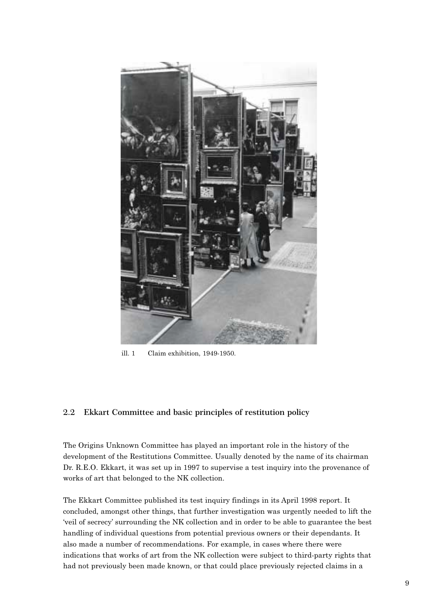

ill. 1 Claim exhibition, 1949-1950.

#### **2.2 Ekkart Committee and basic principles of restitution policy**

The Origins Unknown Committee has played an important role in the history of the development of the Restitutions Committee. Usually denoted by the name of its chairman Dr. R.E.O. Ekkart, it was set up in 1997 to supervise a test inquiry into the provenance of works of art that belonged to the NK collection.

The Ekkart Committee published its test inquiry findings in its April 1998 report. It concluded, amongst other things, that further investigation was urgently needed to lift the 'veil of secrecy' surrounding the NK collection and in order to be able to guarantee the best handling of individual questions from potential previous owners or their dependants. It also made a number of recommendations. For example, in cases where there were indications that works of art from the NK collection were subject to third-party rights that had not previously been made known, or that could place previously rejected claims in a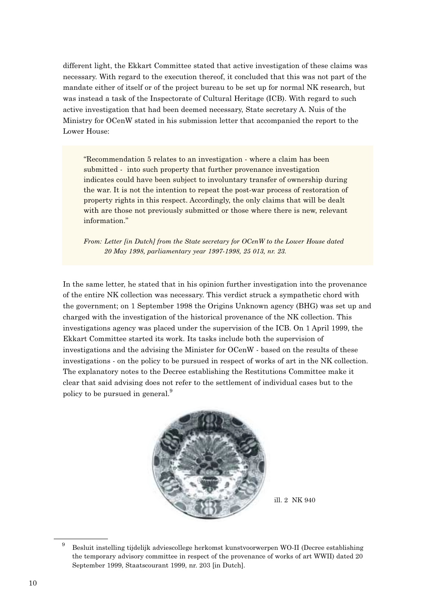different light, the Ekkart Committee stated that active investigation of these claims was necessary. With regard to the execution thereof, it concluded that this was not part of the mandate either of itself or of the project bureau to be set up for normal NK research, but was instead a task of the Inspectorate of Cultural Heritage (ICB). With regard to such active investigation that had been deemed necessary, State secretary A. Nuis of the Ministry for OCenW stated in his submission letter that accompanied the report to the Lower House:

"Recommendation 5 relates to an investigation - where a claim has been submitted - into such property that further provenance investigation indicates could have been subject to involuntary transfer of ownership during the war. It is not the intention to repeat the post-war process of restoration of property rights in this respect. Accordingly, the only claims that will be dealt with are those not previously submitted or those where there is new, relevant information."

*From: Letter [in Dutch] from the State secretary for OCenW to the Lower House dated 20 May 1998, parliamentary year 1997-1998, 25 013, nr. 23.*

In the same letter, he stated that in his opinion further investigation into the provenance of the entire NK collection was necessary. This verdict struck a sympathetic chord with the government; on 1 September 1998 the Origins Unknown agency (BHG) was set up and charged with the investigation of the historical provenance of the NK collection. This investigations agency was placed under the supervision of the ICB. On 1 April 1999, the Ekkart Committee started its work. Its tasks include both the supervision of investigations and the advising the Minister for OCenW - based on the results of these investigations - on the policy to be pursued in respect of works of art in the NK collection. The explanatory notes to the Decree establishing the Restitutions Committee make it clear that said advising does not refer to the settlement of individual cases but to the policy to be pursued in general.<sup>9</sup>



ill. 2 NK 940

<sup>9</sup> Besluit instelling tijdelijk adviescollege herkomst kunstvoorwerpen WO-II (Decree establishing the temporary advisory committee in respect of the provenance of works of art WWII) dated 20 September 1999, Staatscourant 1999, nr. 203 [in Dutch].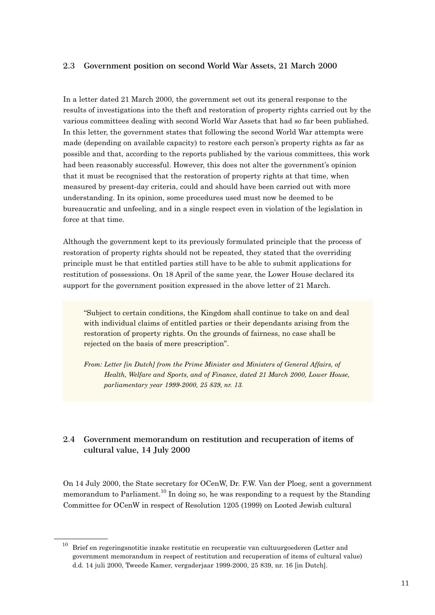#### **2.3 Government position on second World War Assets, 21 March 2000**

In a letter dated 21 March 2000, the government set out its general response to the results of investigations into the theft and restoration of property rights carried out by the various committees dealing with second World War Assets that had so far been published. In this letter, the government states that following the second World War attempts were made (depending on available capacity) to restore each person's property rights as far as possible and that, according to the reports published by the various committees, this work had been reasonably successful. However, this does not alter the government's opinion that it must be recognised that the restoration of property rights at that time, when measured by present-day criteria, could and should have been carried out with more understanding. In its opinion, some procedures used must now be deemed to be bureaucratic and unfeeling, and in a single respect even in violation of the legislation in force at that time.

Although the government kept to its previously formulated principle that the process of restoration of property rights should not be repeated, they stated that the overriding principle must be that entitled parties still have to be able to submit applications for restitution of possessions. On 18 April of the same year, the Lower House declared its support for the government position expressed in the above letter of 21 March.

"Subject to certain conditions, the Kingdom shall continue to take on and deal with individual claims of entitled parties or their dependants arising from the restoration of property rights. On the grounds of fairness, no case shall be rejected on the basis of mere prescription".

*From: Letter [in Dutch] from the Prime Minister and Ministers of General Affairs, of Health, Welfare and Sports, and of Finance, dated 21 March 2000, Lower House, parliamentary year 1999-2000, 25 839, nr. 13.* 

## **2.4 Government memorandum on restitution and recuperation of items of cultural value, 14 July 2000**

On 14 July 2000, the State secretary for OCenW, Dr. F.W. Van der Ploeg, sent a government memorandum to Parliament.<sup>10</sup> In doing so, he was responding to a request by the Standing Committee for OCenW in respect of Resolution 1205 (1999) on Looted Jewish cultural

 $10$  Brief en regeringsnotitie inzake restitutie en recuperatie van cultuurgoederen (Letter and government memorandum in respect of restitution and recuperation of items of cultural value) d.d. 14 juli 2000, Tweede Kamer, vergaderjaar 1999-2000, 25 839, nr. 16 [in Dutch].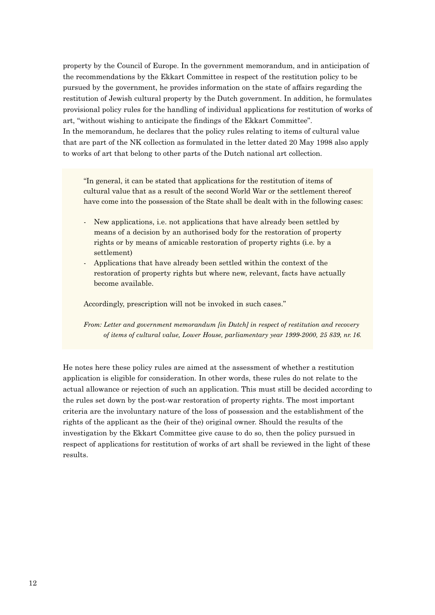property by the Council of Europe. In the government memorandum, and in anticipation of the recommendations by the Ekkart Committee in respect of the restitution policy to be pursued by the government, he provides information on the state of affairs regarding the restitution of Jewish cultural property by the Dutch government. In addition, he formulates provisional policy rules for the handling of individual applications for restitution of works of art, "without wishing to anticipate the findings of the Ekkart Committee". In the memorandum, he declares that the policy rules relating to items of cultural value that are part of the NK collection as formulated in the letter dated 20 May 1998 also apply to works of art that belong to other parts of the Dutch national art collection.

"In general, it can be stated that applications for the restitution of items of cultural value that as a result of the second World War or the settlement thereof have come into the possession of the State shall be dealt with in the following cases:

- New applications, i.e. not applications that have already been settled by means of a decision by an authorised body for the restoration of property rights or by means of amicable restoration of property rights (i.e. by a settlement)
- Applications that have already been settled within the context of the restoration of property rights but where new, relevant, facts have actually become available.

Accordingly, prescription will not be invoked in such cases."

*From: Letter and government memorandum [in Dutch] in respect of restitution and recovery of items of cultural value, Lower House, parliamentary year 1999-2000, 25 839, nr. 16.*

He notes here these policy rules are aimed at the assessment of whether a restitution application is eligible for consideration. In other words, these rules do not relate to the actual allowance or rejection of such an application. This must still be decided according to the rules set down by the post-war restoration of property rights. The most important criteria are the involuntary nature of the loss of possession and the establishment of the rights of the applicant as the (heir of the) original owner. Should the results of the investigation by the Ekkart Committee give cause to do so, then the policy pursued in respect of applications for restitution of works of art shall be reviewed in the light of these results.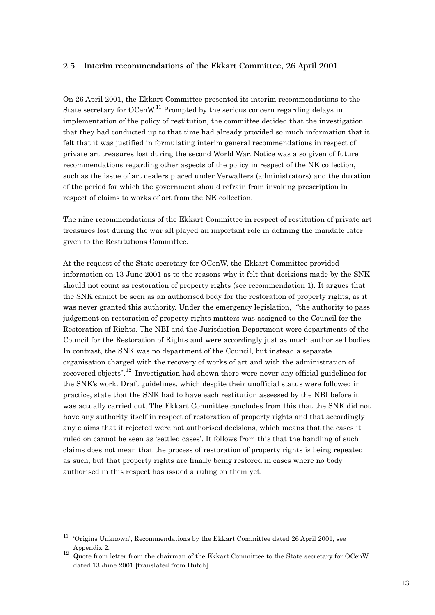#### **2.5 Interim recommendations of the Ekkart Committee, 26 April 2001**

On 26 April 2001, the Ekkart Committee presented its interim recommendations to the State secretary for  $OCenW$ <sup>11</sup> Prompted by the serious concern regarding delays in implementation of the policy of restitution, the committee decided that the investigation that they had conducted up to that time had already provided so much information that it felt that it was justified in formulating interim general recommendations in respect of private art treasures lost during the second World War. Notice was also given of future recommendations regarding other aspects of the policy in respect of the NK collection, such as the issue of art dealers placed under Verwalters (administrators) and the duration of the period for which the government should refrain from invoking prescription in respect of claims to works of art from the NK collection.

The nine recommendations of the Ekkart Committee in respect of restitution of private art treasures lost during the war all played an important role in defining the mandate later given to the Restitutions Committee.

At the request of the State secretary for OCenW, the Ekkart Committee provided information on 13 June 2001 as to the reasons why it felt that decisions made by the SNK should not count as restoration of property rights (see recommendation 1). It argues that the SNK cannot be seen as an authorised body for the restoration of property rights, as it was never granted this authority. Under the emergency legislation, "the authority to pass judgement on restoration of property rights matters was assigned to the Council for the Restoration of Rights. The NBI and the Jurisdiction Department were departments of the Council for the Restoration of Rights and were accordingly just as much authorised bodies. In contrast, the SNK was no department of the Council, but instead a separate organisation charged with the recovery of works of art and with the administration of recovered objects".12 Investigation had shown there were never any official guidelines for the SNK's work. Draft guidelines, which despite their unofficial status were followed in practice, state that the SNK had to have each restitution assessed by the NBI before it was actually carried out. The Ekkart Committee concludes from this that the SNK did not have any authority itself in respect of restoration of property rights and that accordingly any claims that it rejected were not authorised decisions, which means that the cases it ruled on cannot be seen as 'settled cases'. It follows from this that the handling of such claims does not mean that the process of restoration of property rights is being repeated as such, but that property rights are finally being restored in cases where no body authorised in this respect has issued a ruling on them yet.

 $11$  'Origins Unknown', Recommendations by the Ekkart Committee dated 26 April 2001, see Appendix 2.

<sup>&</sup>lt;sup>12</sup> Quote from letter from the chairman of the Ekkart Committee to the State secretary for OCenW dated 13 June 2001 [translated from Dutch].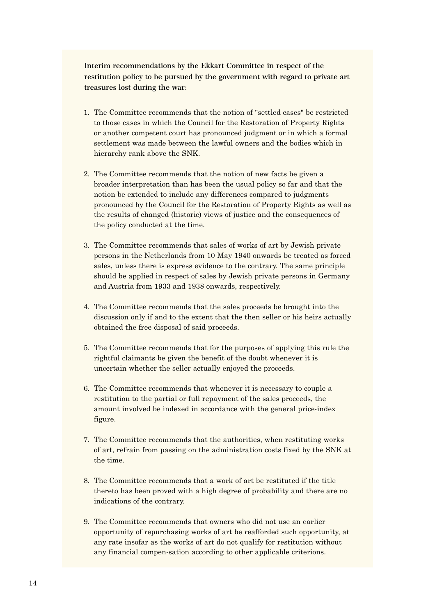**Interim recommendations by the Ekkart Committee in respect of the restitution policy to be pursued by the government with regard to private art treasures lost during the war:**

- 1. The Committee recommends that the notion of "settled cases" be restricted to those cases in which the Council for the Restoration of Property Rights or another competent court has pronounced judgment or in which a formal settlement was made between the lawful owners and the bodies which in hierarchy rank above the SNK.
- 2. The Committee recommends that the notion of new facts be given a broader interpretation than has been the usual policy so far and that the notion be extended to include any differences compared to judgments pronounced by the Council for the Restoration of Property Rights as well as the results of changed (historic) views of justice and the consequences of the policy conducted at the time.
- 3. The Committee recommends that sales of works of art by Jewish private persons in the Netherlands from 10 May 1940 onwards be treated as forced sales, unless there is express evidence to the contrary. The same principle should be applied in respect of sales by Jewish private persons in Germany and Austria from 1933 and 1938 onwards, respectively.
- 4. The Committee recommends that the sales proceeds be brought into the discussion only if and to the extent that the then seller or his heirs actually obtained the free disposal of said proceeds.
- 5. The Committee recommends that for the purposes of applying this rule the rightful claimants be given the benefit of the doubt whenever it is uncertain whether the seller actually enjoyed the proceeds.
- 6. The Committee recommends that whenever it is necessary to couple a restitution to the partial or full repayment of the sales proceeds, the amount involved be indexed in accordance with the general price-index figure.
- 7. The Committee recommends that the authorities, when restituting works of art, refrain from passing on the administration costs fixed by the SNK at the time.
- 8. The Committee recommends that a work of art be restituted if the title thereto has been proved with a high degree of probability and there are no indications of the contrary.
- 9. The Committee recommends that owners who did not use an earlier opportunity of repurchasing works of art be reafforded such opportunity, at any rate insofar as the works of art do not qualify for restitution without any financial compen-sation according to other applicable criterions.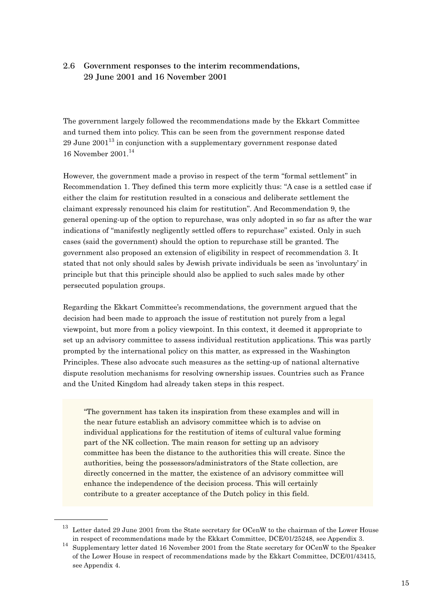### **2.6 Government responses to the interim recommendations, 29 June 2001 and 16 November 2001**

The government largely followed the recommendations made by the Ekkart Committee and turned them into policy. This can be seen from the government response dated 29 June  $2001^{13}$  in conjunction with a supplementary government response dated 16 November 2001.<sup>14</sup>

However, the government made a proviso in respect of the term "formal settlement" in Recommendation 1. They defined this term more explicitly thus: "A case is a settled case if either the claim for restitution resulted in a conscious and deliberate settlement the claimant expressly renounced his claim for restitution". And Recommendation 9, the general opening-up of the option to repurchase, was only adopted in so far as after the war indications of "manifestly negligently settled offers to repurchase" existed. Only in such cases (said the government) should the option to repurchase still be granted. The government also proposed an extension of eligibility in respect of recommendation 3. It stated that not only should sales by Jewish private individuals be seen as 'involuntary' in principle but that this principle should also be applied to such sales made by other persecuted population groups.

Regarding the Ekkart Committee's recommendations, the government argued that the decision had been made to approach the issue of restitution not purely from a legal viewpoint, but more from a policy viewpoint. In this context, it deemed it appropriate to set up an advisory committee to assess individual restitution applications. This was partly prompted by the international policy on this matter, as expressed in the Washington Principles. These also advocate such measures as the setting-up of national alternative dispute resolution mechanisms for resolving ownership issues. Countries such as France and the United Kingdom had already taken steps in this respect.

"The government has taken its inspiration from these examples and will in the near future establish an advisory committee which is to advise on individual applications for the restitution of items of cultural value forming part of the NK collection. The main reason for setting up an advisory committee has been the distance to the authorities this will create. Since the authorities, being the possessors/administrators of the State collection, are directly concerned in the matter, the existence of an advisory committee will enhance the independence of the decision process. This will certainly contribute to a greater acceptance of the Dutch policy in this field.

<sup>&</sup>lt;sup>13</sup> Letter dated 29 June 2001 from the State secretary for OCenW to the chairman of the Lower House in respect of recommendations made by the Ekkart Committee, DCE/01/25248, see Appendix 3.

<sup>&</sup>lt;sup>14</sup> Supplementary letter dated 16 November 2001 from the State secretary for OCenW to the Speaker of the Lower House in respect of recommendations made by the Ekkart Committee, DCE/01/43415, see Appendix 4.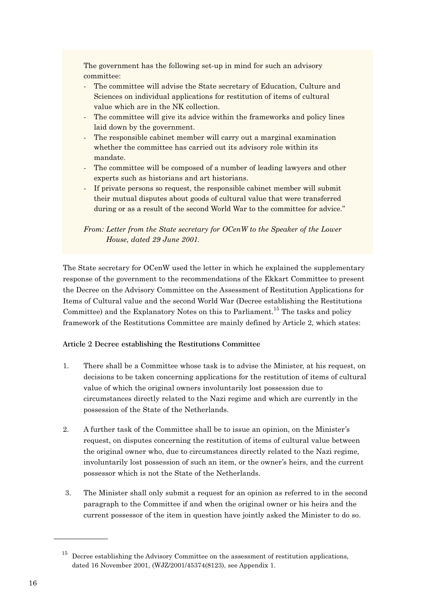The government has the following set-up in mind for such an advisory committee:

- The committee will advise the State secretary of Education, Culture and Sciences on individual applications for restitution of items of cultural value which are in the NK collection.
- The committee will give its advice within the frameworks and policy lines laid down by the government.
- The responsible cabinet member will carry out a marginal examination whether the committee has carried out its advisory role within its mandate.
- The committee will be composed of a number of leading lawyers and other experts such as historians and art historians.
- If private persons so request, the responsible cabinet member will submit their mutual disputes about goods of cultural value that were transferred during or as a result of the second World War to the committee for advice."

*From: Letter from the State secretary for OCenW to the Speaker of the Lower House, dated 29 June 2001.* 

The State secretary for OCenW used the letter in which he explained the supplementary response of the government to the recommendations of the Ekkart Committee to present the Decree on the Advisory Committee on the Assessment of Restitution Applications for Items of Cultural value and the second World War (Decree establishing the Restitutions Committee) and the Explanatory Notes on this to Parliament.<sup>15</sup> The tasks and policy framework of the Restitutions Committee are mainly defined by Article 2, which states:

#### **Article 2 Decree establishing the Restitutions Committee**

- 1. There shall be a Committee whose task is to advise the Minister, at his request, on decisions to be taken concerning applications for the restitution of items of cultural value of which the original owners involuntarily lost possession due to circumstances directly related to the Nazi regime and which are currently in the possession of the State of the Netherlands.
- 2. A further task of the Committee shall be to issue an opinion, on the Minister's request, on disputes concerning the restitution of items of cultural value between the original owner who, due to circumstances directly related to the Nazi regime, involuntarily lost possession of such an item, or the owner's heirs, and the current possessor which is not the State of the Netherlands.
- 3. The Minister shall only submit a request for an opinion as referred to in the second paragraph to the Committee if and when the original owner or his heirs and the current possessor of the item in question have jointly asked the Minister to do so.

 $15$  Decree establishing the Advisory Committee on the assessment of restitution applications, dated 16 November 2001, (WJZ/2001/45374(8123), see Appendix 1.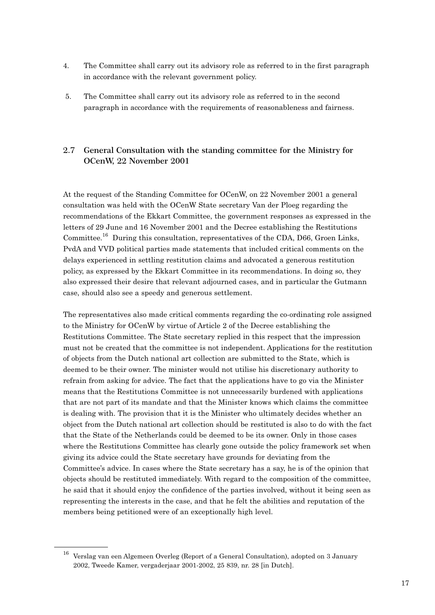- 4. The Committee shall carry out its advisory role as referred to in the first paragraph in accordance with the relevant government policy.
- 5. The Committee shall carry out its advisory role as referred to in the second paragraph in accordance with the requirements of reasonableness and fairness.

## **2.7 General Consultation with the standing committee for the Ministry for OCenW, 22 November 2001**

At the request of the Standing Committee for OCenW, on 22 November 2001 a general consultation was held with the OCenW State secretary Van der Ploeg regarding the recommendations of the Ekkart Committee, the government responses as expressed in the letters of 29 June and 16 November 2001 and the Decree establishing the Restitutions Committee.<sup>16</sup> During this consultation, representatives of the CDA, D66, Groen Links, PvdA and VVD political parties made statements that included critical comments on the delays experienced in settling restitution claims and advocated a generous restitution policy, as expressed by the Ekkart Committee in its recommendations. In doing so, they also expressed their desire that relevant adjourned cases, and in particular the Gutmann case, should also see a speedy and generous settlement.

The representatives also made critical comments regarding the co-ordinating role assigned to the Ministry for OCenW by virtue of Article 2 of the Decree establishing the Restitutions Committee. The State secretary replied in this respect that the impression must not be created that the committee is not independent. Applications for the restitution of objects from the Dutch national art collection are submitted to the State, which is deemed to be their owner. The minister would not utilise his discretionary authority to refrain from asking for advice. The fact that the applications have to go via the Minister means that the Restitutions Committee is not unnecessarily burdened with applications that are not part of its mandate and that the Minister knows which claims the committee is dealing with. The provision that it is the Minister who ultimately decides whether an object from the Dutch national art collection should be restituted is also to do with the fact that the State of the Netherlands could be deemed to be its owner. Only in those cases where the Restitutions Committee has clearly gone outside the policy framework set when giving its advice could the State secretary have grounds for deviating from the Committee's advice. In cases where the State secretary has a say, he is of the opinion that objects should be restituted immediately. With regard to the composition of the committee, he said that it should enjoy the confidence of the parties involved, without it being seen as representing the interests in the case, and that he felt the abilities and reputation of the members being petitioned were of an exceptionally high level.

<sup>&</sup>lt;sup>16</sup> Verslag van een Algemeen Overleg (Report of a General Consultation), adopted on 3 January 2002, Tweede Kamer, vergaderjaar 2001-2002, 25 839, nr. 28 [in Dutch].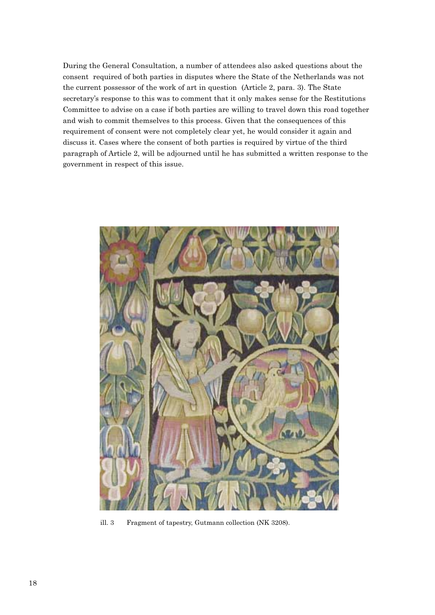During the General Consultation, a number of attendees also asked questions about the consent required of both parties in disputes where the State of the Netherlands was not the current possessor of the work of art in question (Article 2, para. 3). The State secretary's response to this was to comment that it only makes sense for the Restitutions Committee to advise on a case if both parties are willing to travel down this road together and wish to commit themselves to this process. Given that the consequences of this requirement of consent were not completely clear yet, he would consider it again and discuss it. Cases where the consent of both parties is required by virtue of the third paragraph of Article 2, will be adjourned until he has submitted a written response to the government in respect of this issue.



ill. 3 Fragment of tapestry, Gutmann collection (NK 3208).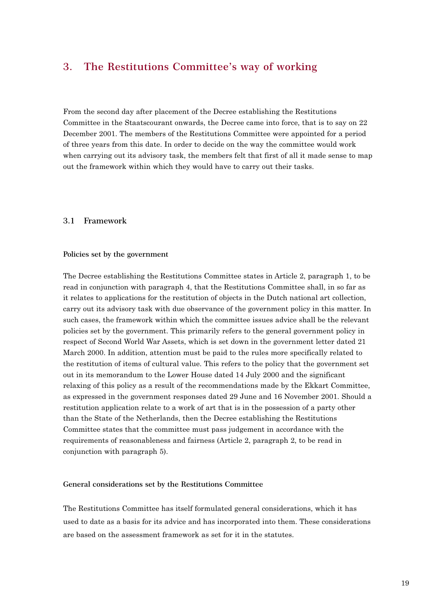## **3. The Restitutions Committee's way of working**

From the second day after placement of the Decree establishing the Restitutions Committee in the Staatscourant onwards, the Decree came into force, that is to say on 22 December 2001. The members of the Restitutions Committee were appointed for a period of three years from this date. In order to decide on the way the committee would work when carrying out its advisory task, the members felt that first of all it made sense to map out the framework within which they would have to carry out their tasks.

#### **3.1 Framework**

#### **Policies set by the government**

The Decree establishing the Restitutions Committee states in Article 2, paragraph 1, to be read in conjunction with paragraph 4, that the Restitutions Committee shall, in so far as it relates to applications for the restitution of objects in the Dutch national art collection, carry out its advisory task with due observance of the government policy in this matter. In such cases, the framework within which the committee issues advice shall be the relevant policies set by the government. This primarily refers to the general government policy in respect of Second World War Assets, which is set down in the government letter dated 21 March 2000. In addition, attention must be paid to the rules more specifically related to the restitution of items of cultural value. This refers to the policy that the government set out in its memorandum to the Lower House dated 14 July 2000 and the significant relaxing of this policy as a result of the recommendations made by the Ekkart Committee, as expressed in the government responses dated 29 June and 16 November 2001. Should a restitution application relate to a work of art that is in the possession of a party other than the State of the Netherlands, then the Decree establishing the Restitutions Committee states that the committee must pass judgement in accordance with the requirements of reasonableness and fairness (Article 2, paragraph 2, to be read in conjunction with paragraph 5).

#### **General considerations set by the Restitutions Committee**

The Restitutions Committee has itself formulated general considerations, which it has used to date as a basis for its advice and has incorporated into them. These considerations are based on the assessment framework as set for it in the statutes.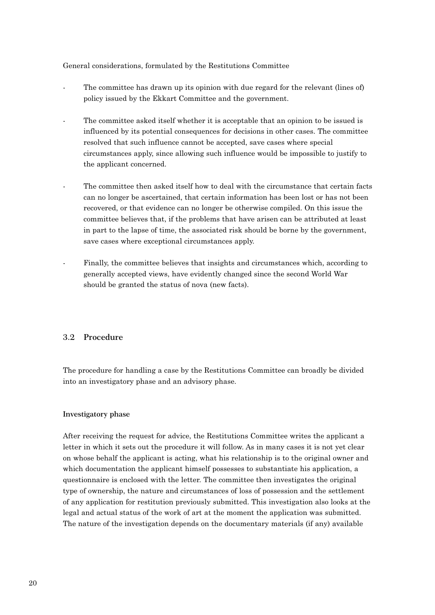General considerations, formulated by the Restitutions Committee

- The committee has drawn up its opinion with due regard for the relevant (lines of) policy issued by the Ekkart Committee and the government.
- The committee asked itself whether it is acceptable that an opinion to be issued is influenced by its potential consequences for decisions in other cases. The committee resolved that such influence cannot be accepted, save cases where special circumstances apply, since allowing such influence would be impossible to justify to the applicant concerned.
- The committee then asked itself how to deal with the circumstance that certain facts can no longer be ascertained, that certain information has been lost or has not been recovered, or that evidence can no longer be otherwise compiled. On this issue the committee believes that, if the problems that have arisen can be attributed at least in part to the lapse of time, the associated risk should be borne by the government, save cases where exceptional circumstances apply.
- Finally, the committee believes that insights and circumstances which, according to generally accepted views, have evidently changed since the second World War should be granted the status of nova (new facts).

#### **3.2 Procedure**

The procedure for handling a case by the Restitutions Committee can broadly be divided into an investigatory phase and an advisory phase.

#### **Investigatory phase**

After receiving the request for advice, the Restitutions Committee writes the applicant a letter in which it sets out the procedure it will follow. As in many cases it is not yet clear on whose behalf the applicant is acting, what his relationship is to the original owner and which documentation the applicant himself possesses to substantiate his application, a questionnaire is enclosed with the letter. The committee then investigates the original type of ownership, the nature and circumstances of loss of possession and the settlement of any application for restitution previously submitted. This investigation also looks at the legal and actual status of the work of art at the moment the application was submitted. The nature of the investigation depends on the documentary materials (if any) available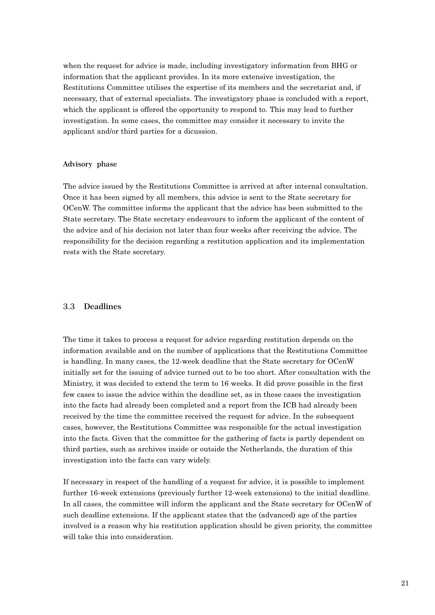when the request for advice is made, including investigatory information from BHG or information that the applicant provides. In its more extensive investigation, the Restitutions Committee utilises the expertise of its members and the secretariat and, if necessary, that of external specialists. The investigatory phase is concluded with a report, which the applicant is offered the opportunity to respond to. This may lead to further investigation. In some cases, the committee may consider it necessary to invite the applicant and/or third parties for a dicussion.

#### **Advisory phase**

The advice issued by the Restitutions Committee is arrived at after internal consultation. Once it has been signed by all members, this advice is sent to the State secretary for OCenW. The committee informs the applicant that the advice has been submitted to the State secretary. The State secretary endeavours to inform the applicant of the content of the advice and of his decision not later than four weeks after receiving the advice. The responsibility for the decision regarding a restitution application and its implementation rests with the State secretary.

#### **3.3 Deadlines**

The time it takes to process a request for advice regarding restitution depends on the information available and on the number of applications that the Restitutions Committee is handling. In many cases, the 12-week deadline that the State secretary for OCenW initially set for the issuing of advice turned out to be too short. After consultation with the Ministry, it was decided to extend the term to 16 weeks. It did prove possible in the first few cases to issue the advice within the deadline set, as in these cases the investigation into the facts had already been completed and a report from the ICB had already been received by the time the committee received the request for advice. In the subsequent cases, however, the Restitutions Committee was responsible for the actual investigation into the facts. Given that the committee for the gathering of facts is partly dependent on third parties, such as archives inside or outside the Netherlands, the duration of this investigation into the facts can vary widely.

If necessary in respect of the handling of a request for advice, it is possible to implement further 16-week extensions (previously further 12-week extensions) to the initial deadline. In all cases, the committee will inform the applicant and the State secretary for OCenW of such deadline extensions. If the applicant states that the (advanced) age of the parties involved is a reason why his restitution application should be given priority, the committee will take this into consideration.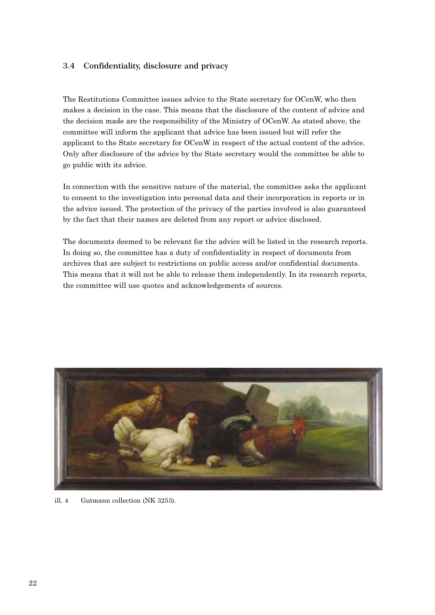#### **3.4 Confidentiality, disclosure and privacy**

The Restitutions Committee issues advice to the State secretary for OCenW, who then makes a decision in the case. This means that the disclosure of the content of advice and the decision made are the responsibility of the Ministry of OCenW. As stated above, the committee will inform the applicant that advice has been issued but will refer the applicant to the State secretary for OCenW in respect of the actual content of the advice. Only after disclosure of the advice by the State secretary would the committee be able to go public with its advice.

In connection with the sensitive nature of the material, the committee asks the applicant to consent to the investigation into personal data and their incorporation in reports or in the advice issued. The protection of the privacy of the parties involved is also guaranteed by the fact that their names are deleted from any report or advice disclosed.

The documents deemed to be relevant for the advice will be listed in the research reports. In doing so, the committee has a duty of confidentiality in respect of documents from archives that are subject to restrictions on public access and/or confidential documents. This means that it will not be able to release them independently. In its research reports, the committee will use quotes and acknowledgements of sources.



ill. 4 Gutmann collection (NK 3253).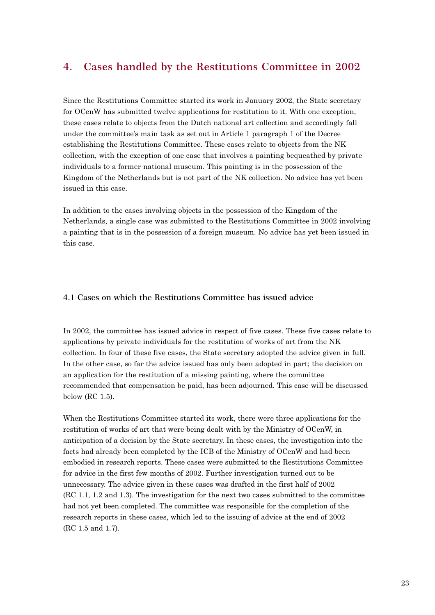## **4. Cases handled by the Restitutions Committee in 2002**

Since the Restitutions Committee started its work in January 2002, the State secretary for OCenW has submitted twelve applications for restitution to it. With one exception, these cases relate to objects from the Dutch national art collection and accordingly fall under the committee's main task as set out in Article 1 paragraph 1 of the Decree establishing the Restitutions Committee. These cases relate to objects from the NK collection, with the exception of one case that involves a painting bequeathed by private individuals to a former national museum. This painting is in the possession of the Kingdom of the Netherlands but is not part of the NK collection. No advice has yet been issued in this case.

In addition to the cases involving objects in the possession of the Kingdom of the Netherlands, a single case was submitted to the Restitutions Committee in 2002 involving a painting that is in the possession of a foreign museum. No advice has yet been issued in this case.

#### **4.1 Cases on which the Restitutions Committee has issued advice**

In 2002, the committee has issued advice in respect of five cases. These five cases relate to applications by private individuals for the restitution of works of art from the NK collection. In four of these five cases, the State secretary adopted the advice given in full. In the other case, so far the advice issued has only been adopted in part; the decision on an application for the restitution of a missing painting, where the committee recommended that compensation be paid, has been adjourned. This case will be discussed below (RC 1.5).

When the Restitutions Committee started its work, there were three applications for the restitution of works of art that were being dealt with by the Ministry of OCenW, in anticipation of a decision by the State secretary. In these cases, the investigation into the facts had already been completed by the ICB of the Ministry of OCenW and had been embodied in research reports. These cases were submitted to the Restitutions Committee for advice in the first few months of 2002. Further investigation turned out to be unnecessary. The advice given in these cases was drafted in the first half of 2002 (RC 1.1, 1.2 and 1.3). The investigation for the next two cases submitted to the committee had not yet been completed. The committee was responsible for the completion of the research reports in these cases, which led to the issuing of advice at the end of 2002 (RC 1.5 and 1.7).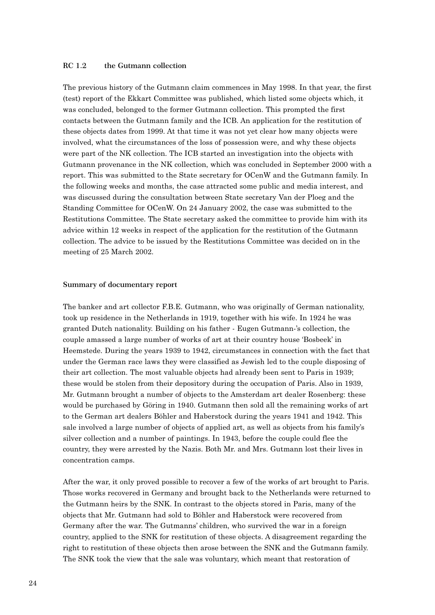#### **RC 1.2 the Gutmann collection**

The previous history of the Gutmann claim commences in May 1998. In that year, the first (test) report of the Ekkart Committee was published, which listed some objects which, it was concluded, belonged to the former Gutmann collection. This prompted the first contacts between the Gutmann family and the ICB. An application for the restitution of these objects dates from 1999. At that time it was not yet clear how many objects were involved, what the circumstances of the loss of possession were, and why these objects were part of the NK collection. The ICB started an investigation into the objects with Gutmann provenance in the NK collection, which was concluded in September 2000 with a report. This was submitted to the State secretary for OCenW and the Gutmann family. In the following weeks and months, the case attracted some public and media interest, and was discussed during the consultation between State secretary Van der Ploeg and the Standing Committee for OCenW. On 24 January 2002, the case was submitted to the Restitutions Committee. The State secretary asked the committee to provide him with its advice within 12 weeks in respect of the application for the restitution of the Gutmann collection. The advice to be issued by the Restitutions Committee was decided on in the meeting of 25 March 2002.

#### **Summary of documentary report**

The banker and art collector F.B.E. Gutmann, who was originally of German nationality, took up residence in the Netherlands in 1919, together with his wife. In 1924 he was granted Dutch nationality. Building on his father - Eugen Gutmann-'s collection, the couple amassed a large number of works of art at their country house 'Bosbeek' in Heemstede. During the years 1939 to 1942, circumstances in connection with the fact that under the German race laws they were classified as Jewish led to the couple disposing of their art collection. The most valuable objects had already been sent to Paris in 1939; these would be stolen from their depository during the occupation of Paris. Also in 1939, Mr. Gutmann brought a number of objects to the Amsterdam art dealer Rosenberg: these would be purchased by Göring in 1940. Gutmann then sold all the remaining works of art to the German art dealers Böhler and Haberstock during the years 1941 and 1942. This sale involved a large number of objects of applied art, as well as objects from his family's silver collection and a number of paintings. In 1943, before the couple could flee the country, they were arrested by the Nazis. Both Mr. and Mrs. Gutmann lost their lives in concentration camps.

After the war, it only proved possible to recover a few of the works of art brought to Paris. Those works recovered in Germany and brought back to the Netherlands were returned to the Gutmann heirs by the SNK. In contrast to the objects stored in Paris, many of the objects that Mr. Gutmann had sold to Böhler and Haberstock were recovered from Germany after the war. The Gutmanns' children, who survived the war in a foreign country, applied to the SNK for restitution of these objects. A disagreement regarding the right to restitution of these objects then arose between the SNK and the Gutmann family. The SNK took the view that the sale was voluntary, which meant that restoration of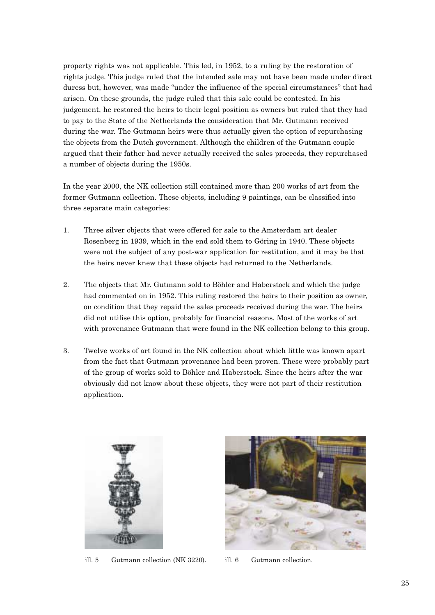property rights was not applicable. This led, in 1952, to a ruling by the restoration of rights judge. This judge ruled that the intended sale may not have been made under direct duress but, however, was made "under the influence of the special circumstances" that had arisen. On these grounds, the judge ruled that this sale could be contested. In his judgement, he restored the heirs to their legal position as owners but ruled that they had to pay to the State of the Netherlands the consideration that Mr. Gutmann received during the war. The Gutmann heirs were thus actually given the option of repurchasing the objects from the Dutch government. Although the children of the Gutmann couple argued that their father had never actually received the sales proceeds, they repurchased a number of objects during the 1950s.

In the year 2000, the NK collection still contained more than 200 works of art from the former Gutmann collection. These objects, including 9 paintings, can be classified into three separate main categories:

- 1. Three silver objects that were offered for sale to the Amsterdam art dealer Rosenberg in 1939, which in the end sold them to Göring in 1940. These objects were not the subject of any post-war application for restitution, and it may be that the heirs never knew that these objects had returned to the Netherlands.
- 2. The objects that Mr. Gutmann sold to Böhler and Haberstock and which the judge had commented on in 1952. This ruling restored the heirs to their position as owner, on condition that they repaid the sales proceeds received during the war. The heirs did not utilise this option, probably for financial reasons. Most of the works of art with provenance Gutmann that were found in the NK collection belong to this group.
- 3. Twelve works of art found in the NK collection about which little was known apart from the fact that Gutmann provenance had been proven. These were probably part of the group of works sold to Böhler and Haberstock. Since the heirs after the war obviously did not know about these objects, they were not part of their restitution application.



ill. 5 Gutmann collection (NK 3220). ill. 6 Gutmann collection.

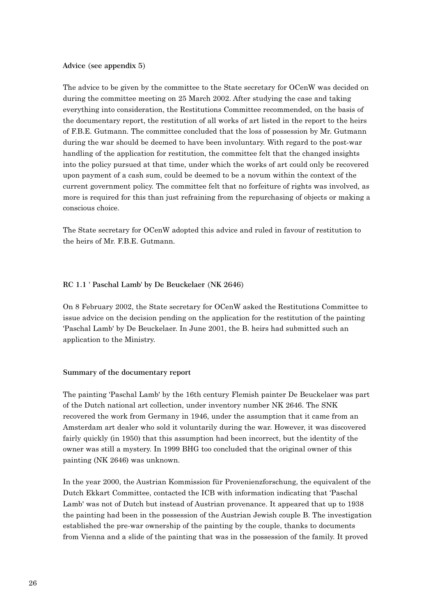#### **Advice (see appendix 5)**

The advice to be given by the committee to the State secretary for OCenW was decided on during the committee meeting on 25 March 2002. After studying the case and taking everything into consideration, the Restitutions Committee recommended, on the basis of the documentary report, the restitution of all works of art listed in the report to the heirs of F.B.E. Gutmann. The committee concluded that the loss of possession by Mr. Gutmann during the war should be deemed to have been involuntary. With regard to the post-war handling of the application for restitution, the committee felt that the changed insights into the policy pursued at that time, under which the works of art could only be recovered upon payment of a cash sum, could be deemed to be a novum within the context of the current government policy. The committee felt that no forfeiture of rights was involved, as more is required for this than just refraining from the repurchasing of objects or making a conscious choice.

The State secretary for OCenW adopted this advice and ruled in favour of restitution to the heirs of Mr. F.B.E. Gutmann.

#### **RC 1.1 ' Paschal Lamb' by De Beuckelaer (NK 2646)**

On 8 February 2002, the State secretary for OCenW asked the Restitutions Committee to issue advice on the decision pending on the application for the restitution of the painting 'Paschal Lamb' by De Beuckelaer. In June 2001, the B. heirs had submitted such an application to the Ministry.

#### **Summary of the documentary report**

The painting 'Paschal Lamb' by the 16th century Flemish painter De Beuckelaer was part of the Dutch national art collection, under inventory number NK 2646. The SNK recovered the work from Germany in 1946, under the assumption that it came from an Amsterdam art dealer who sold it voluntarily during the war. However, it was discovered fairly quickly (in 1950) that this assumption had been incorrect, but the identity of the owner was still a mystery. In 1999 BHG too concluded that the original owner of this painting (NK 2646) was unknown.

In the year 2000, the Austrian Kommission für Provenienzforschung, the equivalent of the Dutch Ekkart Committee, contacted the ICB with information indicating that 'Paschal Lamb' was not of Dutch but instead of Austrian provenance. It appeared that up to 1938 the painting had been in the possession of the Austrian Jewish couple B. The investigation established the pre-war ownership of the painting by the couple, thanks to documents from Vienna and a slide of the painting that was in the possession of the family. It proved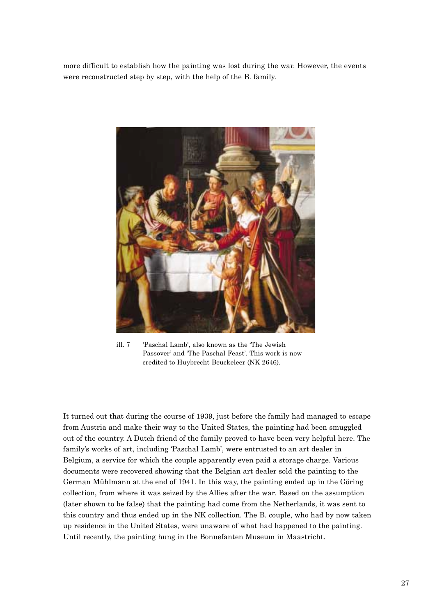more difficult to establish how the painting was lost during the war. However, the events were reconstructed step by step, with the help of the B. family.



ill. 7 'Paschal Lamb', also known as the 'The Jewish Passover' and 'The Paschal Feast'. This work is now credited to Huybrecht Beuckeleer (NK 2646).

It turned out that during the course of 1939, just before the family had managed to escape from Austria and make their way to the United States, the painting had been smuggled out of the country. A Dutch friend of the family proved to have been very helpful here. The family's works of art, including 'Paschal Lamb', were entrusted to an art dealer in Belgium, a service for which the couple apparently even paid a storage charge. Various documents were recovered showing that the Belgian art dealer sold the painting to the German Mühlmann at the end of 1941. In this way, the painting ended up in the Göring collection, from where it was seized by the Allies after the war. Based on the assumption (later shown to be false) that the painting had come from the Netherlands, it was sent to this country and thus ended up in the NK collection. The B. couple, who had by now taken up residence in the United States, were unaware of what had happened to the painting. Until recently, the painting hung in the Bonnefanten Museum in Maastricht.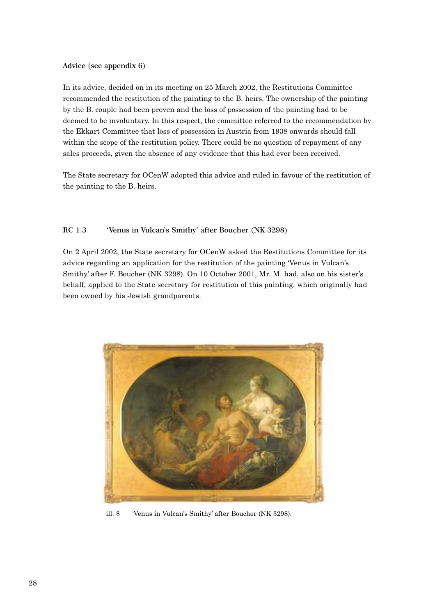#### **Advice (see appendix 6)**

In its advice, decided on in its meeting on 25 March 2002, the Restitutions Committee recommended the restitution of the painting to the B. heirs. The ownership of the painting by the B. couple had been proven and the loss of possession of the painting had to be deemed to be involuntary. In this respect, the committee referred to the recommendation by the Ekkart Committee that loss of possession in Austria from 1938 onwards should fall within the scope of the restitution policy. There could be no question of repayment of any sales proceeds, given the absence of any evidence that this had ever been received.

The State secretary for OCenW adopted this advice and ruled in favour of the restitution of the painting to the B. heirs.

#### **RC 1.3 'Venus in Vulcan's Smithy' after Boucher (NK 3298)**

On 2 April 2002, the State secretary for OCenW asked the Restitutions Committee for its advice regarding an application for the restitution of the painting 'Venus in Vulcan's Smithy' after F. Boucher (NK 3298). On 10 October 2001, Mr. M. had, also on his sister's behalf, applied to the State secretary for restitution of this painting, which originally had been owned by his Jewish grandparents.



ill. 8 'Venus in Vulcan's Smithy' after Boucher (NK 3298).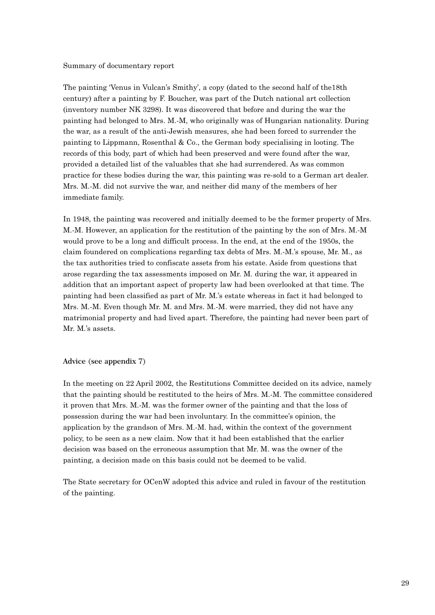#### Summary of documentary report

The painting 'Venus in Vulcan's Smithy', a copy (dated to the second half of the18th century) after a painting by F. Boucher, was part of the Dutch national art collection (inventory number NK 3298). It was discovered that before and during the war the painting had belonged to Mrs. M.-M, who originally was of Hungarian nationality. During the war, as a result of the anti-Jewish measures, she had been forced to surrender the painting to Lippmann, Rosenthal & Co., the German body specialising in looting. The records of this body, part of which had been preserved and were found after the war, provided a detailed list of the valuables that she had surrendered. As was common practice for these bodies during the war, this painting was re-sold to a German art dealer. Mrs. M.-M. did not survive the war, and neither did many of the members of her immediate family.

In 1948, the painting was recovered and initially deemed to be the former property of Mrs. M.-M. However, an application for the restitution of the painting by the son of Mrs. M.-M would prove to be a long and difficult process. In the end, at the end of the 1950s, the claim foundered on complications regarding tax debts of Mrs. M.-M.'s spouse, Mr. M., as the tax authorities tried to confiscate assets from his estate. Aside from questions that arose regarding the tax assessments imposed on Mr. M. during the war, it appeared in addition that an important aspect of property law had been overlooked at that time. The painting had been classified as part of Mr. M.'s estate whereas in fact it had belonged to Mrs. M.-M. Even though Mr. M. and Mrs. M.-M. were married, they did not have any matrimonial property and had lived apart. Therefore, the painting had never been part of Mr. M.'s assets.

#### **Advice (see appendix 7)**

In the meeting on 22 April 2002, the Restitutions Committee decided on its advice, namely that the painting should be restituted to the heirs of Mrs. M.-M. The committee considered it proven that Mrs. M.-M. was the former owner of the painting and that the loss of possession during the war had been involuntary. In the committee's opinion, the application by the grandson of Mrs. M.-M. had, within the context of the government policy, to be seen as a new claim. Now that it had been established that the earlier decision was based on the erroneous assumption that Mr. M. was the owner of the painting, a decision made on this basis could not be deemed to be valid.

The State secretary for OCenW adopted this advice and ruled in favour of the restitution of the painting.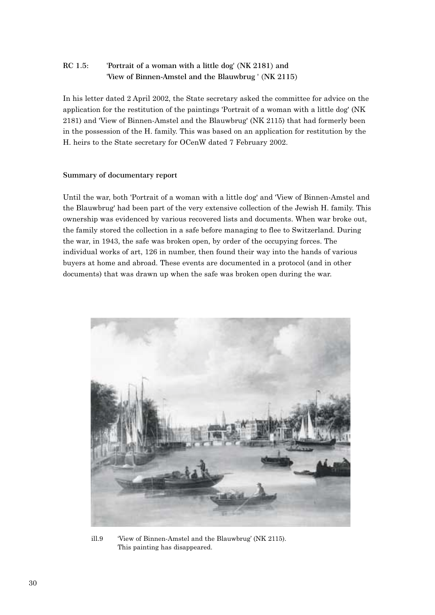## **RC 1.5: 'Portrait of a woman with a little dog' (NK 2181) and 'View of Binnen-Amstel and the Blauwbrug ' (NK 2115)**

In his letter dated 2 April 2002, the State secretary asked the committee for advice on the application for the restitution of the paintings 'Portrait of a woman with a little dog' (NK 2181) and 'View of Binnen-Amstel and the Blauwbrug' (NK 2115) that had formerly been in the possession of the H. family. This was based on an application for restitution by the H. heirs to the State secretary for OCenW dated 7 February 2002.

#### **Summary of documentary report**

Until the war, both 'Portrait of a woman with a little dog' and 'View of Binnen-Amstel and the Blauwbrug' had been part of the very extensive collection of the Jewish H. family. This ownership was evidenced by various recovered lists and documents. When war broke out, the family stored the collection in a safe before managing to flee to Switzerland. During the war, in 1943, the safe was broken open, by order of the occupying forces. The individual works of art, 126 in number, then found their way into the hands of various buyers at home and abroad. These events are documented in a protocol (and in other documents) that was drawn up when the safe was broken open during the war.



ill.9 'View of Binnen-Amstel and the Blauwbrug' (NK 2115). This painting has disappeared.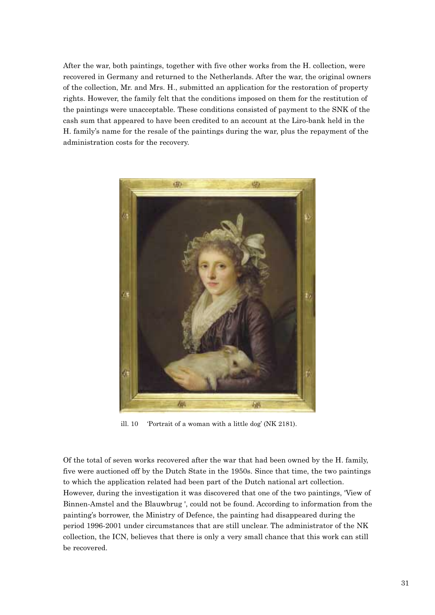After the war, both paintings, together with five other works from the H. collection, were recovered in Germany and returned to the Netherlands. After the war, the original owners of the collection, Mr. and Mrs. H., submitted an application for the restoration of property rights. However, the family felt that the conditions imposed on them for the restitution of the paintings were unacceptable. These conditions consisted of payment to the SNK of the cash sum that appeared to have been credited to an account at the Liro-bank held in the H. family's name for the resale of the paintings during the war, plus the repayment of the administration costs for the recovery.



ill. 10 'Portrait of a woman with a little dog' (NK 2181).

Of the total of seven works recovered after the war that had been owned by the H. family, five were auctioned off by the Dutch State in the 1950s. Since that time, the two paintings to which the application related had been part of the Dutch national art collection. However, during the investigation it was discovered that one of the two paintings, 'View of Binnen-Amstel and the Blauwbrug ', could not be found. According to information from the painting's borrower, the Ministry of Defence, the painting had disappeared during the period 1996-2001 under circumstances that are still unclear. The administrator of the NK collection, the ICN, believes that there is only a very small chance that this work can still be recovered.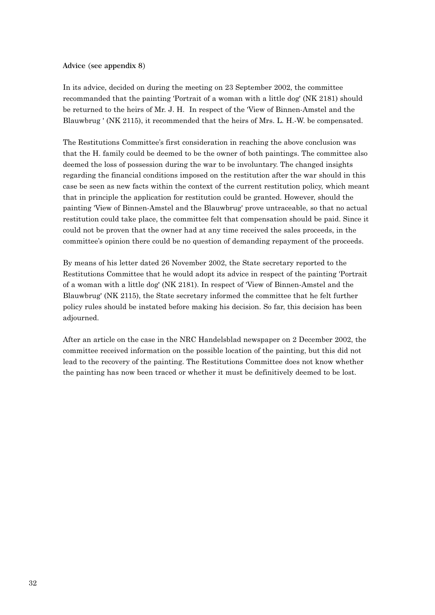#### **Advice (see appendix 8)**

In its advice, decided on during the meeting on 23 September 2002, the committee recommanded that the painting 'Portrait of a woman with a little dog' (NK 2181) should be returned to the heirs of Mr. J. H. In respect of the 'View of Binnen-Amstel and the Blauwbrug ' (NK 2115), it recommended that the heirs of Mrs. L. H.-W. be compensated.

The Restitutions Committee's first consideration in reaching the above conclusion was that the H. family could be deemed to be the owner of both paintings. The committee also deemed the loss of possession during the war to be involuntary. The changed insights regarding the financial conditions imposed on the restitution after the war should in this case be seen as new facts within the context of the current restitution policy, which meant that in principle the application for restitution could be granted. However, should the painting 'View of Binnen-Amstel and the Blauwbrug' prove untraceable, so that no actual restitution could take place, the committee felt that compensation should be paid. Since it could not be proven that the owner had at any time received the sales proceeds, in the committee's opinion there could be no question of demanding repayment of the proceeds.

By means of his letter dated 26 November 2002, the State secretary reported to the Restitutions Committee that he would adopt its advice in respect of the painting 'Portrait of a woman with a little dog' (NK 2181). In respect of 'View of Binnen-Amstel and the Blauwbrug' (NK 2115), the State secretary informed the committee that he felt further policy rules should be instated before making his decision. So far, this decision has been adjourned.

After an article on the case in the NRC Handelsblad newspaper on 2 December 2002, the committee received information on the possible location of the painting, but this did not lead to the recovery of the painting. The Restitutions Committee does not know whether the painting has now been traced or whether it must be definitively deemed to be lost.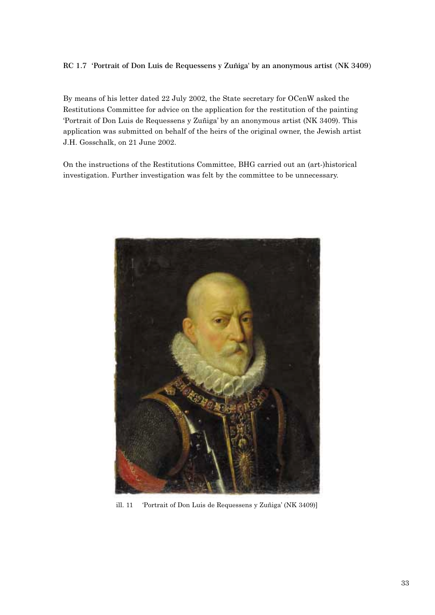#### **RC 1.7 'Portrait of Don Luis de Requessens y Zuñiga' by an anonymous artist (NK 3409)**

By means of his letter dated 22 July 2002, the State secretary for OCenW asked the Restitutions Committee for advice on the application for the restitution of the painting 'Portrait of Don Luis de Requessens y Zuñiga' by an anonymous artist (NK 3409). This application was submitted on behalf of the heirs of the original owner, the Jewish artist J.H. Gosschalk, on 21 June 2002.

On the instructions of the Restitutions Committee, BHG carried out an (art-)historical investigation. Further investigation was felt by the committee to be unnecessary.



ill. 11 'Portrait of Don Luis de Requessens y Zuñiga' (NK 3409)]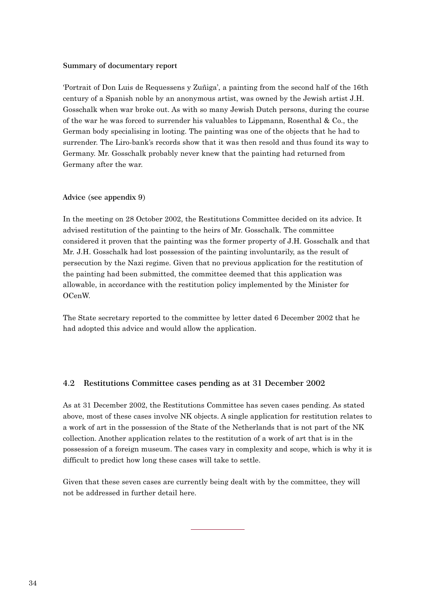#### **Summary of documentary report**

'Portrait of Don Luis de Requessens y Zuñiga', a painting from the second half of the 16th century of a Spanish noble by an anonymous artist, was owned by the Jewish artist J.H. Gosschalk when war broke out. As with so many Jewish Dutch persons, during the course of the war he was forced to surrender his valuables to Lippmann, Rosenthal & Co., the German body specialising in looting. The painting was one of the objects that he had to surrender. The Liro-bank's records show that it was then resold and thus found its way to Germany. Mr. Gosschalk probably never knew that the painting had returned from Germany after the war.

#### **Advice (see appendix 9)**

In the meeting on 28 October 2002, the Restitutions Committee decided on its advice. It advised restitution of the painting to the heirs of Mr. Gosschalk. The committee considered it proven that the painting was the former property of J.H. Gosschalk and that Mr. J.H. Gosschalk had lost possession of the painting involuntarily, as the result of persecution by the Nazi regime. Given that no previous application for the restitution of the painting had been submitted, the committee deemed that this application was allowable, in accordance with the restitution policy implemented by the Minister for OCenW.

The State secretary reported to the committee by letter dated 6 December 2002 that he had adopted this advice and would allow the application.

#### **4.2 Restitutions Committee cases pending as at 31 December 2002**

As at 31 December 2002, the Restitutions Committee has seven cases pending. As stated above, most of these cases involve NK objects. A single application for restitution relates to a work of art in the possession of the State of the Netherlands that is not part of the NK collection. Another application relates to the restitution of a work of art that is in the possession of a foreign museum. The cases vary in complexity and scope, which is why it is difficult to predict how long these cases will take to settle.

Given that these seven cases are currently being dealt with by the committee, they will not be addressed in further detail here.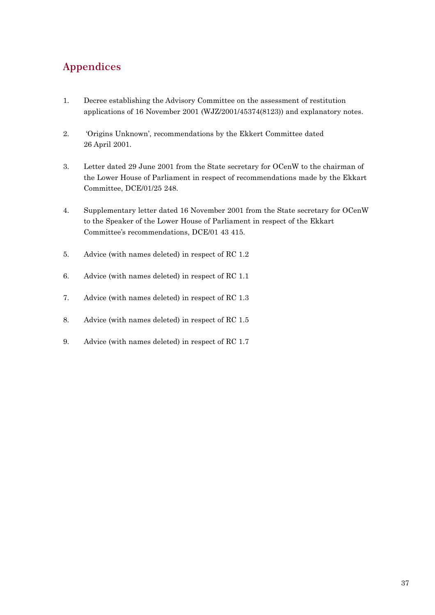# **Appendices**

- 1. Decree establishing the Advisory Committee on the assessment of restitution applications of 16 November 2001 (WJZ/2001/45374(8123)) and explanatory notes.
- 2. 'Origins Unknown', recommendations by the Ekkert Committee dated 26 April 2001.
- 3. Letter dated 29 June 2001 from the State secretary for OCenW to the chairman of the Lower House of Parliament in respect of recommendations made by the Ekkart Committee, DCE/01/25 248.
- 4. Supplementary letter dated 16 November 2001 from the State secretary for OCenW to the Speaker of the Lower House of Parliament in respect of the Ekkart Committee's recommendations, DCE/01 43 415.
- 5. Advice (with names deleted) in respect of RC 1.2
- 6. Advice (with names deleted) in respect of RC 1.1
- 7. Advice (with names deleted) in respect of RC 1.3
- 8. Advice (with names deleted) in respect of RC 1.5
- 9. Advice (with names deleted) in respect of RC 1.7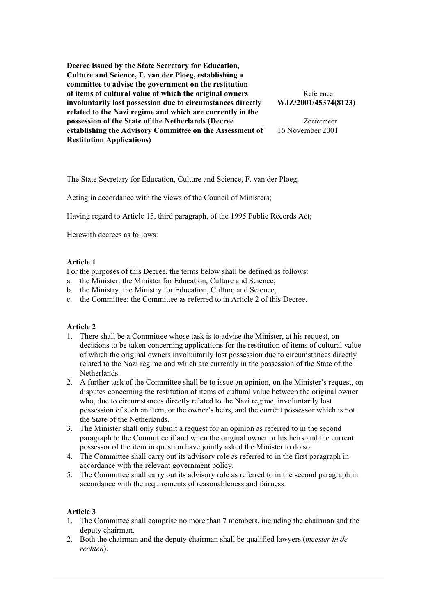**Decree issued by the State Secretary for Education, Culture and Science, F. van der Ploeg, establishing a committee to advise the government on the restitution of items of cultural value of which the original owners** Reference **involuntarily lost possession due to circumstances directly WJZ/2001/45374(8123) related to the Nazi regime and which are currently in the possession of the State of the Netherlands (Decree** Zoetermeer **establishing the Advisory Committee on the Assessment of** 16 November 2001 **Restitution Applications)**

The State Secretary for Education, Culture and Science, F. van der Ploeg,

Acting in accordance with the views of the Council of Ministers;

Having regard to Article 15, third paragraph, of the 1995 Public Records Act;

Herewith decrees as follows:

#### **Article 1**

For the purposes of this Decree, the terms below shall be defined as follows:

- a. the Minister: the Minister for Education, Culture and Science;
- b. the Ministry: the Ministry for Education, Culture and Science;
- c. the Committee: the Committee as referred to in Article 2 of this Decree.

### **Article 2**

- 1.There shall be a Committee whose task is to advise the Minister, at his request, on decisions to be taken concerning applications for the restitution of items of cultural value of which the original owners involuntarily lost possession due to circumstances directly related to the Nazi regime and which are currently in the possession of the State of the Netherlands.
- 2.A further task of the Committee shall be to issue an opinion, on the Minister's request, on disputes concerning the restitution of items of cultural value between the original owner who, due to circumstances directly related to the Nazi regime, involuntarily lost possession of such an item, or the owner's heirs, and the current possessor which is not the State of the Netherlands.
- 3.The Minister shall only submit a request for an opinion as referred to in the second paragraph to the Committee if and when the original owner or his heirs and the current possessor of the item in question have jointly asked the Minister to do so.
- 4.The Committee shall carry out its advisory role as referred to in the first paragraph in accordance with the relevant government policy.
- 5.The Committee shall carry out its advisory role as referred to in the second paragraph in accordance with the requirements of reasonableness and fairness.

### **Article 3**

- 1.The Committee shall comprise no more than 7 members, including the chairman and the deputy chairman.
- 2.Both the chairman and the deputy chairman shall be qualified lawyers (*meester in de rechten*).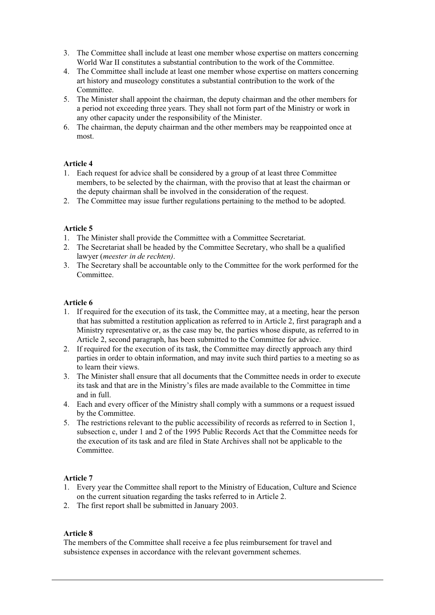- 3.The Committee shall include at least one member whose expertise on matters concerning World War II constitutes a substantial contribution to the work of the Committee.
- 4.The Committee shall include at least one member whose expertise on matters concerning art history and museology constitutes a substantial contribution to the work of the Committee.
- 5.The Minister shall appoint the chairman, the deputy chairman and the other members for a period not exceeding three years. They shall not form part of the Ministry or work in any other capacity under the responsibility of the Minister.
- 6.The chairman, the deputy chairman and the other members may be reappointed once at most.

### **Article 4**

- 1.Each request for advice shall be considered by a group of at least three Committee members, to be selected by the chairman, with the proviso that at least the chairman or the deputy chairman shall be involved in the consideration of the request.
- 2.The Committee may issue further regulations pertaining to the method to be adopted.

### **Article 5**

- 1.The Minister shall provide the Committee with a Committee Secretariat.
- 2.The Secretariat shall be headed by the Committee Secretary, who shall be a qualified lawyer (*meester in de rechten)*.
- 3.The Secretary shall be accountable only to the Committee for the work performed for the Committee.

### **Article 6**

- 1.If required for the execution of its task, the Committee may, at a meeting, hear the person that has submitted a restitution application as referred to in Article 2, first paragraph and a Ministry representative or, as the case may be, the parties whose dispute, as referred to in Article 2, second paragraph, has been submitted to the Committee for advice.
- 2. If required for the execution of its task, the Committee may directly approach any third parties in order to obtain information, and may invite such third parties to a meeting so as to learn their views.
- 3.The Minister shall ensure that all documents that the Committee needs in order to execute its task and that are in the Ministry's files are made available to the Committee in time and in full.
- 4. Each and every officer of the Ministry shall comply with a summons or a request issued by the Committee.
- 5.The restrictions relevant to the public accessibility of records as referred to in Section 1, subsection c, under 1 and 2 of the 1995 Public Records Act that the Committee needs for the execution of its task and are filed in State Archives shall not be applicable to the Committee.

### **Article 7**

- 1.Every year the Committee shall report to the Ministry of Education, Culture and Science on the current situation regarding the tasks referred to in Article 2.
- 2.The first report shall be submitted in January 2003.

### **Article 8**

The members of the Committee shall receive a fee plus reimbursement for travel and subsistence expenses in accordance with the relevant government schemes.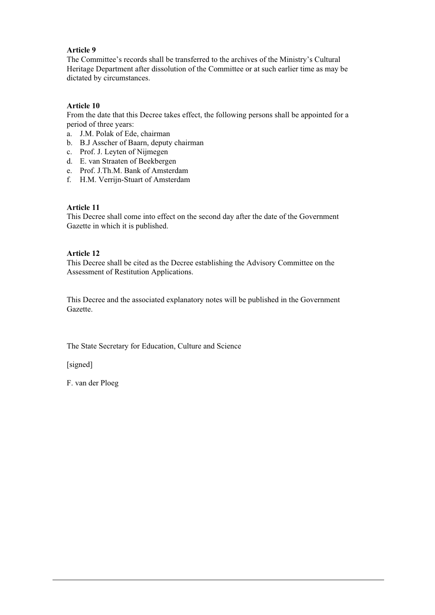### **Article 9**

The Committee's records shall be transferred to the archives of the Ministry's Cultural Heritage Department after dissolution of the Committee or at such earlier time as may be dictated by circumstances.

### **Article 10**

From the date that this Decree takes effect, the following persons shall be appointed for a period of three years:

- a. J.M. Polak of Ede, chairman
- b.B.J Asscher of Baarn, deputy chairman
- c. Prof. J. Leyten of Nijmegen
- d.E. van Straaten of Beekbergen
- e. Prof. J.Th.M. Bank of Amsterdam
- f. H.M. Verrijn-Stuart of Amsterdam

### **Article 11**

This Decree shall come into effect on the second day after the date of the Government Gazette in which it is published.

### **Article 12**

This Decree shall be cited as the Decree establishing the Advisory Committee on the Assessment of Restitution Applications.

This Decree and the associated explanatory notes will be published in the Government Gazette.

The State Secretary for Education, Culture and Science

[signed]

F. van der Ploeg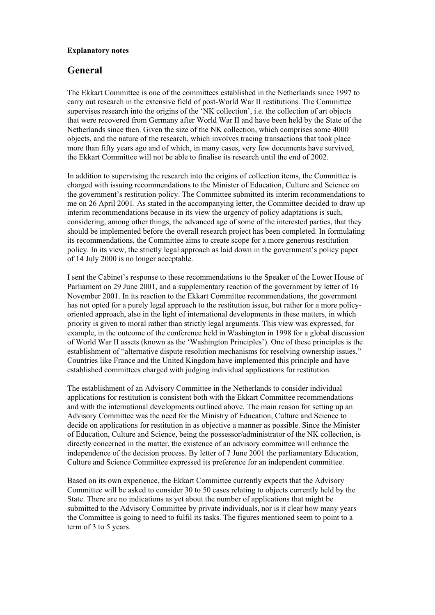#### **Explanatory notes**

## **General**

The Ekkart Committee is one of the committees established in the Netherlands since 1997 to carry out research in the extensive field of post-World War II restitutions. The Committee supervises research into the origins of the 'NK collection', i.e. the collection of art objects that were recovered from Germany after World War II and have been held by the State of the Netherlands since then. Given the size of the NK collection, which comprises some 4000 objects, and the nature of the research, which involves tracing transactions that took place more than fifty years ago and of which, in many cases, very few documents have survived, the Ekkart Committee will not be able to finalise its research until the end of 2002.

In addition to supervising the research into the origins of collection items, the Committee is charged with issuing recommendations to the Minister of Education, Culture and Science on the government's restitution policy. The Committee submitted its interim recommendations to me on 26 April 2001. As stated in the accompanying letter, the Committee decided to draw up interim recommendations because in its view the urgency of policy adaptations is such, considering, among other things, the advanced age of some of the interested parties, that they should be implemented before the overall research project has been completed. In formulating its recommendations, the Committee aims to create scope for a more generous restitution policy. In its view, the strictly legal approach as laid down in the government's policy paper of 14 July 2000 is no longer acceptable.

I sent the Cabinet's response to these recommendations to the Speaker of the Lower House of Parliament on 29 June 2001, and a supplementary reaction of the government by letter of 16 November 2001. In its reaction to the Ekkart Committee recommendations, the government has not opted for a purely legal approach to the restitution issue, but rather for a more policyoriented approach, also in the light of international developments in these matters, in which priority is given to moral rather than strictly legal arguments. This view was expressed, for example, in the outcome of the conference held in Washington in 1998 for a global discussion of World War II assets (known as the 'Washington Principles'). One of these principles is the establishment of "alternative dispute resolution mechanisms for resolving ownership issues." Countries like France and the United Kingdom have implemented this principle and have established committees charged with judging individual applications for restitution.

The establishment of an Advisory Committee in the Netherlands to consider individual applications for restitution is consistent both with the Ekkart Committee recommendations and with the international developments outlined above. The main reason for setting up an Advisory Committee was the need for the Ministry of Education, Culture and Science to decide on applications for restitution in as objective a manner as possible. Since the Minister of Education, Culture and Science, being the possessor/administrator of the NK collection, is directly concerned in the matter, the existence of an advisory committee will enhance the independence of the decision process. By letter of 7 June 2001 the parliamentary Education, Culture and Science Committee expressed its preference for an independent committee.

Based on its own experience, the Ekkart Committee currently expects that the Advisory Committee will be asked to consider 30 to 50 cases relating to objects currently held by the State. There are no indications as yet about the number of applications that might be submitted to the Advisory Committee by private individuals, nor is it clear how many years the Committee is going to need to fulfil its tasks. The figures mentioned seem to point to a term of 3 to 5 years.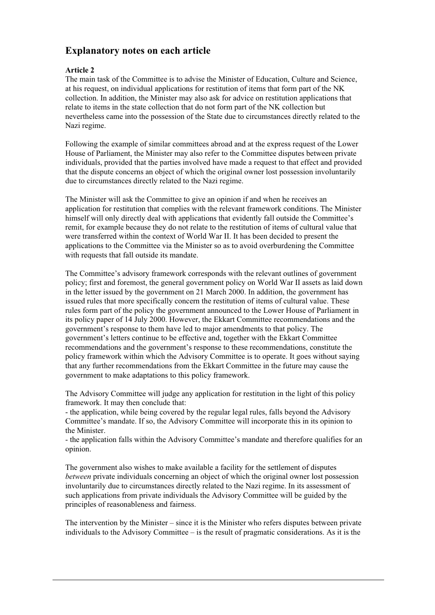# **Explanatory notes on each article**

### **Article 2**

The main task of the Committee is to advise the Minister of Education, Culture and Science, at his request, on individual applications for restitution of items that form part of the NK collection. In addition, the Minister may also ask for advice on restitution applications that relate to items in the state collection that do not form part of the NK collection but nevertheless came into the possession of the State due to circumstances directly related to the Nazi regime.

Following the example of similar committees abroad and at the express request of the Lower House of Parliament, the Minister may also refer to the Committee disputes between private individuals, provided that the parties involved have made a request to that effect and provided that the dispute concerns an object of which the original owner lost possession involuntarily due to circumstances directly related to the Nazi regime.

The Minister will ask the Committee to give an opinion if and when he receives an application for restitution that complies with the relevant framework conditions. The Minister himself will only directly deal with applications that evidently fall outside the Committee's remit, for example because they do not relate to the restitution of items of cultural value that were transferred within the context of World War II. It has been decided to present the applications to the Committee via the Minister so as to avoid overburdening the Committee with requests that fall outside its mandate.

The Committee's advisory framework corresponds with the relevant outlines of government policy; first and foremost, the general government policy on World War II assets as laid down in the letter issued by the government on 21 March 2000. In addition, the government has issued rules that more specifically concern the restitution of items of cultural value. These rules form part of the policy the government announced to the Lower House of Parliament in its policy paper of 14 July 2000. However, the Ekkart Committee recommendations and the government's response to them have led to major amendments to that policy. The government's letters continue to be effective and, together with the Ekkart Committee recommendations and the government's response to these recommendations, constitute the policy framework within which the Advisory Committee is to operate. It goes without saying that any further recommendations from the Ekkart Committee in the future may cause the government to make adaptations to this policy framework.

The Advisory Committee will judge any application for restitution in the light of this policy framework. It may then conclude that:

- the application, while being covered by the regular legal rules, falls beyond the Advisory Committee's mandate. If so, the Advisory Committee will incorporate this in its opinion to the Minister.

- the application falls within the Advisory Committee's mandate and therefore qualifies for an opinion.

The government also wishes to make available a facility for the settlement of disputes *between* private individuals concerning an object of which the original owner lost possession involuntarily due to circumstances directly related to the Nazi regime. In its assessment of such applications from private individuals the Advisory Committee will be guided by the principles of reasonableness and fairness.

The intervention by the Minister – since it is the Minister who refers disputes between private individuals to the Advisory Committee – is the result of pragmatic considerations. As it is the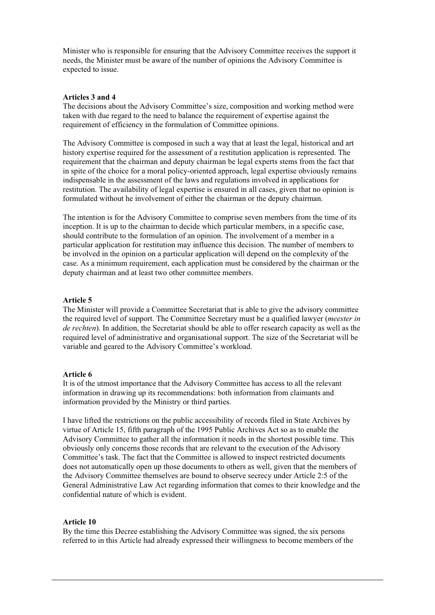Minister who is responsible for ensuring that the Advisory Committee receives the support it needs, the Minister must be aware of the number of opinions the Advisory Committee is expected to issue.

#### **Articles 3 and 4**

The decisions about the Advisory Committee's size, composition and working method were taken with due regard to the need to balance the requirement of expertise against the requirement of efficiency in the formulation of Committee opinions.

The Advisory Committee is composed in such a way that at least the legal, historical and art history expertise required for the assessment of a restitution application is represented. The requirement that the chairman and deputy chairman be legal experts stems from the fact that in spite of the choice for a moral policy-oriented approach, legal expertise obviously remains indispensable in the assessment of the laws and regulations involved in applications for restitution. The availability of legal expertise is ensured in all cases, given that no opinion is formulated without he involvement of either the chairman or the deputy chairman.

The intention is for the Advisory Committee to comprise seven members from the time of its inception. It is up to the chairman to decide which particular members, in a specific case, should contribute to the formulation of an opinion. The involvement of a member in a particular application for restitution may influence this decision. The number of members to be involved in the opinion on a particular application will depend on the complexity of the case. As a minimum requirement, each application must be considered by the chairman or the deputy chairman and at least two other committee members.

### **Article 5**

The Minister will provide a Committee Secretariat that is able to give the advisory committee the required level of support. The Committee Secretary must be a qualified lawyer (*meester in de rechten*). In addition, the Secretariat should be able to offer research capacity as well as the required level of administrative and organisational support. The size of the Secretariat will be variable and geared to the Advisory Committee's workload.

### **Article 6**

It is of the utmost importance that the Advisory Committee has access to all the relevant information in drawing up its recommendations: both information from claimants and information provided by the Ministry or third parties.

I have lifted the restrictions on the public accessibility of records filed in State Archives by virtue of Article 15, fifth paragraph of the 1995 Public Archives Act so as to enable the Advisory Committee to gather all the information it needs in the shortest possible time. This obviously only concerns those records that are relevant to the execution of the Advisory Committee's task. The fact that the Committee is allowed to inspect restricted documents does not automatically open up those documents to others as well, given that the members of the Advisory Committee themselves are bound to observe secrecy under Article 2:5 of the General Administrative Law Act regarding information that comes to their knowledge and the confidential nature of which is evident.

#### **Article 10**

By the time this Decree establishing the Advisory Committee was signed, the six persons referred to in this Article had already expressed their willingness to become members of the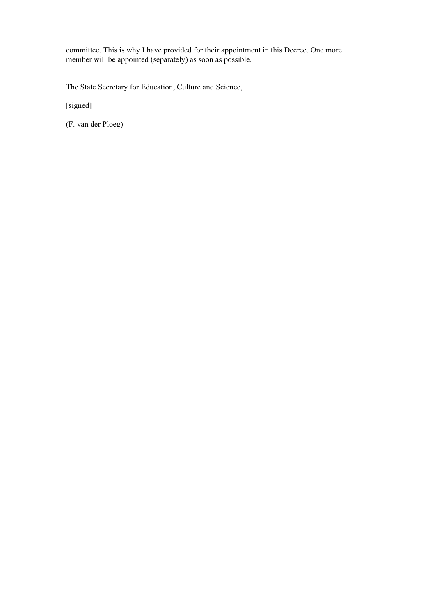committee. This is why I have provided for their appointment in this Decree. One more member will be appointed (separately) as soon as possible.

The State Secretary for Education, Culture and Science,

[signed]

(F. van der Ploeg)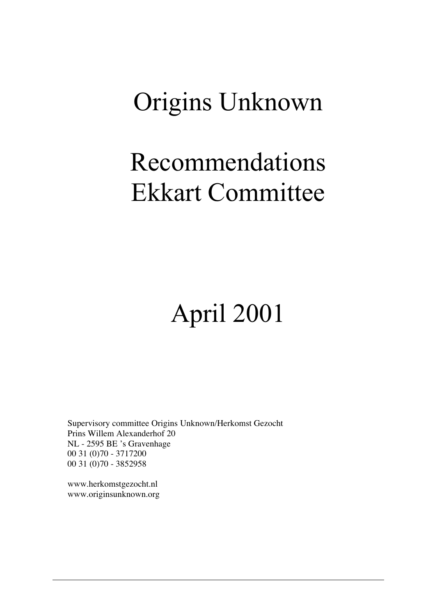# Origins Unknown

# Recommendations Ekkart Committee

# April 2001

Supervisory committee Origins Unknown/Herkomst Gezocht Prins Willem Alexanderhof 20 NL - 2595 BE 's Gravenhage 00 31 (0)70 - 3717200 00 31 (0)70 - 3852958

www.herkomstgezocht.nl www.originsunknown.org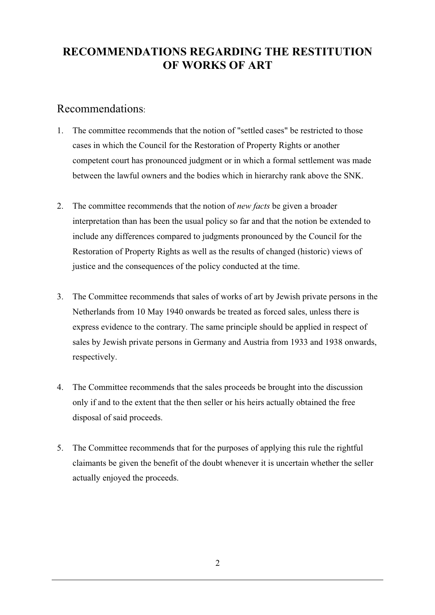# **RECOMMENDATIONS REGARDING THE RESTITUTION OF WORKS OF ART**

# Recommendations:

- 1.The committee recommends that the notion of "settled cases" be restricted to those cases in which the Council for the Restoration of Property Rights or another competent court has pronounced judgment or in which a formal settlement was made between the lawful owners and the bodies which in hierarchy rank above the SNK.
- 2.The committee recommends that the notion of *new facts* be given a broader interpretation than has been the usual policy so far and that the notion be extended to include any differences compared to judgments pronounced by the Council for the Restoration of Property Rights as well as the results of changed (historic) views of justice and the consequences of the policy conducted at the time.
- 3.The Committee recommends that sales of works of art by Jewish private persons in the Netherlands from 10 May 1940 onwards be treated as forced sales, unless there is express evidence to the contrary. The same principle should be applied in respect of sales by Jewish private persons in Germany and Austria from 1933 and 1938 onwards, respectively.
- 4.The Committee recommends that the sales proceeds be brought into the discussion only if and to the extent that the then seller or his heirs actually obtained the free disposal of said proceeds.
- 5.The Committee recommends that for the purposes of applying this rule the rightful claimants be given the benefit of the doubt whenever it is uncertain whether the seller actually enjoyed the proceeds.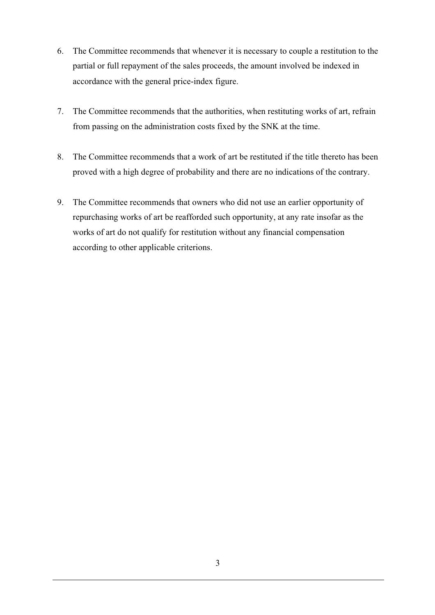- 6. The Committee recommends that whenever it is necessary to couple a restitution to the partial or full repayment of the sales proceeds, the amount involved be indexed in accordance with the general price-index figure.
- 7. The Committee recommends that the authorities, when restituting works of art, refrain from passing on the administration costs fixed by the SNK at the time.
- 8. The Committee recommends that a work of art be restituted if the title thereto has been proved with a high degree of probability and there are no indications of the contrary.
- 9. The Committee recommends that owners who did not use an earlier opportunity of repurchasing works of art be reafforded such opportunity, at any rate insofar as the works of art do not qualify for restitution without any financial compensation according to other applicable criterions.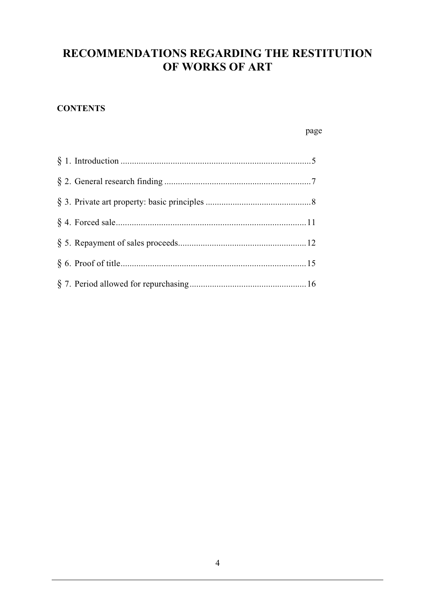# **RECOMMENDATIONS REGARDING THE RESTITUTION OF WORKS OF ART**

# **CONTENTS**

page

| § 6. Proof of title. |  |
|----------------------|--|
|                      |  |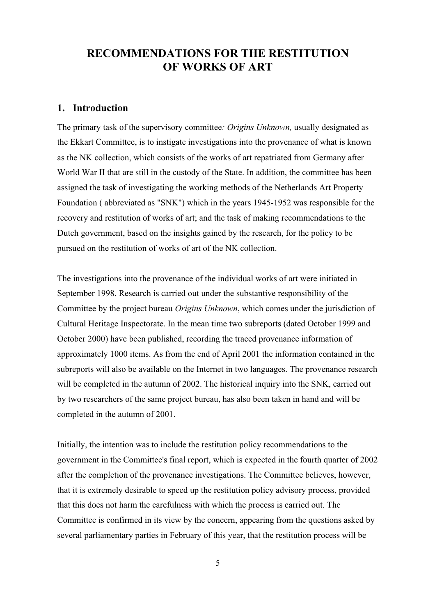# **RECOMMENDATIONS FOR THE RESTITUTION RECOMMENDATIONS FOR THE RESTITUTION OF WORKS OF ART OF WORKS OF ART**

# **1. Introduction 1. Introduction**

The primary task of the supervisory committee*: Origins Unknown,* usually designated as The primary task of the supervisory committee*: Origins Unknown,* usually designated as the Ekkart Committee, is to instigate investigations into the provenance of what is known the Ekkart Committee, is to instigate investigations into the provenance of what is known as the NK collection, which consists of the works of art repatriated from Germany after as the NK collection, which consists of the works of art repatriated from Germany after World War II that are still in the custody of the State. In addition, the committee has been World War II that are still in the custody of the State. In addition, the committee has been assigned the task of investigating the working methods of the Netherlands Art Property assigned the task of investigating the working methods of the Netherlands Art Property Foundation ( abbreviated as "SNK") which in the years 1945-1952 was responsible for the Foundation ( abbreviated as "SNK") which in the years 1945-1952 was responsible for the recovery and restitution of works of art; and the task of making recommendations to the recovery and restitution of works of art; and the task of making recommendations to the Dutch government, based on the insights gained by the research, for the policy to be Dutch government, based on the insights gained by the research, for the policy to be pursued on the restitution of works of art of the NK collection. pursued on the restitution of works of art of the NK collection.

The investigations into the provenance of the individual works of art were initiated in The investigations into the provenance of the individual works of art were initiated in September 1998. Research is carried out under the substantive responsibility of the September 1998. Research is carried out under the substantive responsibility of the Committee by the project bureau *Origins Unknown*, which comes under the jurisdiction of Committee by the project bureau *Origins Unknown*, which comes under the jurisdiction of Cultural Heritage Inspectorate. In the mean time two subreports (dated October 1999 and Cultural Heritage Inspectorate. In the mean time two subreports (dated October 1999 and October 2000) have been published, recording the traced provenance information of October 2000) have been published, recording the traced provenance information of approximately 1000 items. As from the end of April 2001 the information contained in the approximately 1000 items. As from the end of April 2001 the information contained in the subreports will also be available on the Internet in two languages. The provenance research subreports will also be available on the Internet in two languages. The provenance research will be completed in the autumn of 2002. The historical inquiry into the SNK, carried out by two researchers of the same project bureau, has also been taken in hand and will be by two researchers of the same project bureau, has also been taken in hand and will be completed in the autumn of 2001. completed in the autumn of 2001.

Initially, the intention was to include the restitution policy recommendations to the Initially, the intention was to include the restitution policy recommendations to the government in the Committee's final report, which is expected in the fourth quarter of 2002 government in the Committee's final report, which is expected in the fourth quarter of 2002 after the completion of the provenance investigations. The Committee believes, however, after the completion of the provenance investigations. The Committee believes, however, that it is extremely desirable to speed up the restitution policy advisory process, provided that it is extremely desirable to speed up the restitution policy advisory process, provided that this does not harm the carefulness with which the process is carried out. The that this does not harm the carefulness with which the process is carried out. The Committee is confirmed in its view by the concern, appearing from the questions asked by Committee is confirmed in its view by the concern, appearing from the questions asked by several parliamentary parties in February of this year, that the restitution process will be several parliamentary parties in February of this year, that the restitution process will be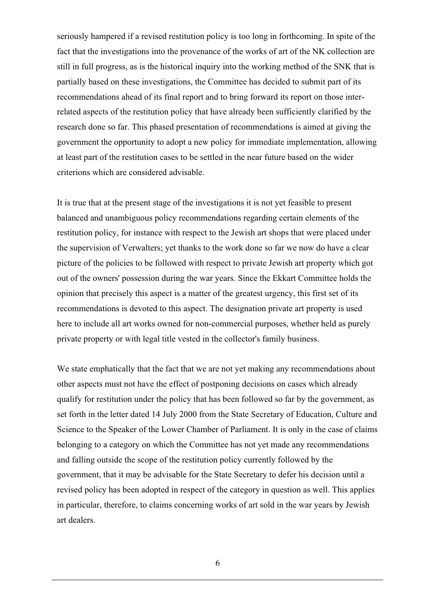seriously hampered if a revised restitution policy is too long in forthcoming. In spite of the fact that the investigations into the provenance of the works of art of the NK collection are still in full progress, as is the historical inquiry into the working method of the SNK that is partially based on these investigations, the Committee has decided to submit part of its recommendations ahead of its final report and to bring forward its report on those interrelated aspects of the restitution policy that have already been sufficiently clarified by the research done so far. This phased presentation of recommendations is aimed at giving the government the opportunity to adopt a new policy for immediate implementation, allowing at least part of the restitution cases to be settled in the near future based on the wider criterions which are considered advisable.

It is true that at the present stage of the investigations it is not yet feasible to present balanced and unambiguous policy recommendations regarding certain elements of the restitution policy, for instance with respect to the Jewish art shops that were placed under the supervision of Verwalters; yet thanks to the work done so far we now do have a clear picture of the policies to be followed with respect to private Jewish art property which got out of the owners' possession during the war years. Since the Ekkart Committee holds the opinion that precisely this aspect is a matter of the greatest urgency, this first set of its recommendations is devoted to this aspect. The designation private art property is used here to include all art works owned for non-commercial purposes, whether held as purely private property or with legal title vested in the collector's family business.

We state emphatically that the fact that we are not yet making any recommendations about other aspects must not have the effect of postponing decisions on cases which already qualify for restitution under the policy that has been followed so far by the government, as set forth in the letter dated 14 July 2000 from the State Secretary of Education, Culture and Science to the Speaker of the Lower Chamber of Parliament. It is only in the case of claims belonging to a category on which the Committee has not yet made any recommendations and falling outside the scope of the restitution policy currently followed by the government, that it may be advisable for the State Secretary to defer his decision until a revised policy has been adopted in respect of the category in question as well. This applies in particular, therefore, to claims concerning works of art sold in the war years by Jewish art dealers.

6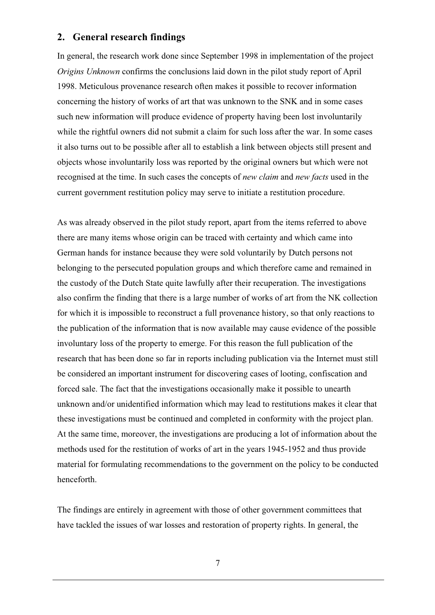## **2. General research findings**

In general, the research work done since September 1998 in implementation of the project *Origins Unknown* confirms the conclusions laid down in the pilot study report of April 1998. Meticulous provenance research often makes it possible to recover information concerning the history of works of art that was unknown to the SNK and in some cases such new information will produce evidence of property having been lost involuntarily while the rightful owners did not submit a claim for such loss after the war. In some cases it also turns out to be possible after all to establish a link between objects still present and objects whose involuntarily loss was reported by the original owners but which were not recognised at the time. In such cases the concepts of *new claim* and *new facts* used in the current government restitution policy may serve to initiate a restitution procedure.

As was already observed in the pilot study report, apart from the items referred to above there are many items whose origin can be traced with certainty and which came into German hands for instance because they were sold voluntarily by Dutch persons not belonging to the persecuted population groups and which therefore came and remained in the custody of the Dutch State quite lawfully after their recuperation. The investigations also confirm the finding that there is a large number of works of art from the NK collection for which it is impossible to reconstruct a full provenance history, so that only reactions to the publication of the information that is now available may cause evidence of the possible involuntary loss of the property to emerge. For this reason the full publication of the research that has been done so far in reports including publication via the Internet must still be considered an important instrument for discovering cases of looting, confiscation and forced sale. The fact that the investigations occasionally make it possible to unearth unknown and/or unidentified information which may lead to restitutions makes it clear that these investigations must be continued and completed in conformity with the project plan. At the same time, moreover, the investigations are producing a lot of information about the methods used for the restitution of works of art in the years 1945-1952 and thus provide material for formulating recommendations to the government on the policy to be conducted henceforth.

The findings are entirely in agreement with those of other government committees that have tackled the issues of war losses and restoration of property rights. In general, the

7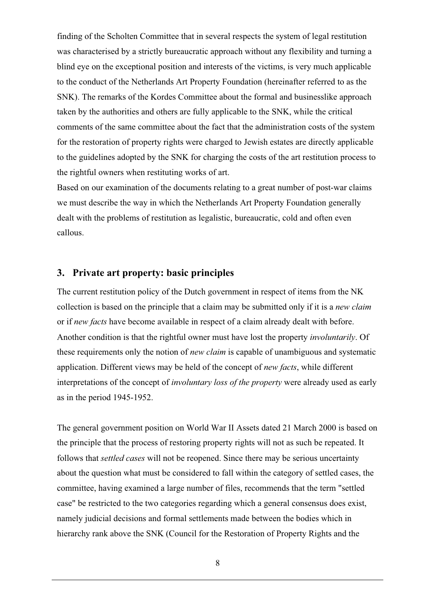finding of the Scholten Committee that in several respects the system of legal restitution was characterised by a strictly bureaucratic approach without any flexibility and turning a blind eye on the exceptional position and interests of the victims, is very much applicable to the conduct of the Netherlands Art Property Foundation (hereinafter referred to as the SNK). The remarks of the Kordes Committee about the formal and businesslike approach taken by the authorities and others are fully applicable to the SNK, while the critical comments of the same committee about the fact that the administration costs of the system for the restoration of property rights were charged to Jewish estates are directly applicable to the guidelines adopted by the SNK for charging the costs of the art restitution process to the rightful owners when restituting works of art.

Based on our examination of the documents relating to a great number of post-war claims we must describe the way in which the Netherlands Art Property Foundation generally dealt with the problems of restitution as legalistic, bureaucratic, cold and often even callous.

## **3. Private art property: basic principles**

The current restitution policy of the Dutch government in respect of items from the NK collection is based on the principle that a claim may be submitted only if it is a *new claim* or if *new facts* have become available in respect of a claim already dealt with before. Another condition is that the rightful owner must have lost the property *involuntarily*. Of these requirements only the notion of *new claim* is capable of unambiguous and systematic application. Different views may be held of the concept of *new facts*, while different interpretations of the concept of *involuntary loss of the property* were already used as early as in the period 1945-1952.

The general government position on World War II Assets dated 21 March 2000 is based on the principle that the process of restoring property rights will not as such be repeated. It follows that *settled cases* will not be reopened. Since there may be serious uncertainty about the question what must be considered to fall within the category of settled cases, the committee, having examined a large number of files, recommends that the term "settled case" be restricted to the two categories regarding which a general consensus does exist, namely judicial decisions and formal settlements made between the bodies which in hierarchy rank above the SNK (Council for the Restoration of Property Rights and the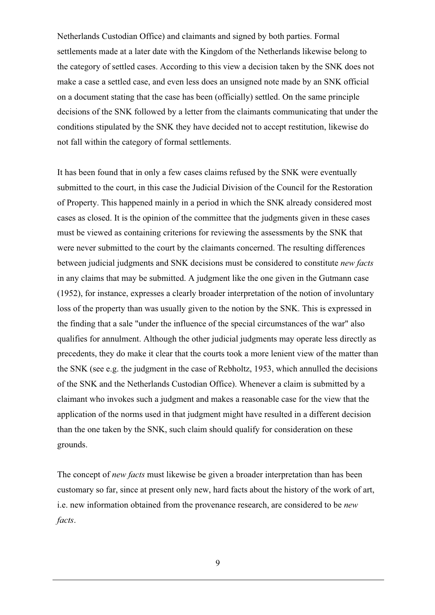Netherlands Custodian Office) and claimants and signed by both parties. Formal settlements made at a later date with the Kingdom of the Netherlands likewise belong to the category of settled cases. According to this view a decision taken by the SNK does not make a case a settled case, and even less does an unsigned note made by an SNK official on a document stating that the case has been (officially) settled. On the same principle decisions of the SNK followed by a letter from the claimants communicating that under the conditions stipulated by the SNK they have decided not to accept restitution, likewise do not fall within the category of formal settlements.

It has been found that in only a few cases claims refused by the SNK were eventually submitted to the court, in this case the Judicial Division of the Council for the Restoration of Property. This happened mainly in a period in which the SNK already considered most cases as closed. It is the opinion of the committee that the judgments given in these cases must be viewed as containing criterions for reviewing the assessments by the SNK that were never submitted to the court by the claimants concerned. The resulting differences between judicial judgments and SNK decisions must be considered to constitute *new facts* in any claims that may be submitted. A judgment like the one given in the Gutmann case (1952), for instance, expresses a clearly broader interpretation of the notion of involuntary loss of the property than was usually given to the notion by the SNK. This is expressed in the finding that a sale "under the influence of the special circumstances of the war" also qualifies for annulment. Although the other judicial judgments may operate less directly as precedents, they do make it clear that the courts took a more lenient view of the matter than the SNK (see e.g. the judgment in the case of Rebholtz, 1953, which annulled the decisions of the SNK and the Netherlands Custodian Office). Whenever a claim is submitted by a claimant who invokes such a judgment and makes a reasonable case for the view that the application of the norms used in that judgment might have resulted in a different decision than the one taken by the SNK, such claim should qualify for consideration on these grounds.

The concept of *new facts* must likewise be given a broader interpretation than has been customary so far, since at present only new, hard facts about the history of the work of art, i.e. new information obtained from the provenance research, are considered to be *new facts*.

9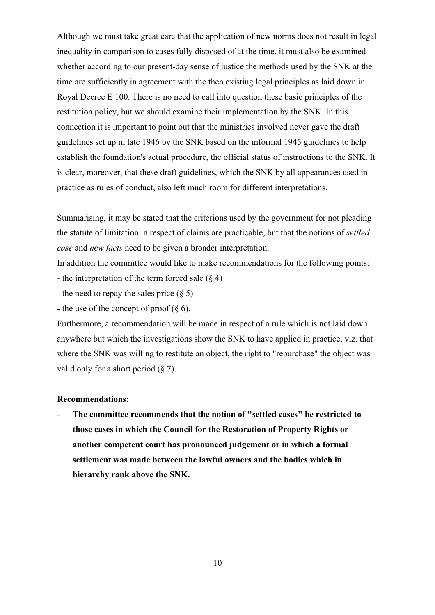Although we must take great care that the application of new norms does not result in legal inequality in comparison to cases fully disposed of at the time, it must also be examined whether according to our present-day sense of justice the methods used by the SNK at the time are sufficiently in agreement with the then existing legal principles as laid down in Royal Decree E 100. There is no need to call into question these basic principles of the restitution policy, but we should examine their implementation by the SNK. In this connection it is important to point out that the ministries involved never gave the draft guidelines set up in late 1946 by the SNK based on the informal 1945 guidelines to help establish the foundation's actual procedure, the official status of instructions to the SNK. It is clear, moreover, that these draft guidelines, which the SNK by all appearances used in practice as rules of conduct, also left much room for different interpretations.

Summarising, it may be stated that the criterions used by the government for not pleading the statute of limitation in respect of claims are practicable, but that the notions of *settled case* and *new facts* need to be given a broader interpretation.

In addition the committee would like to make recommendations for the following points: - the interpretation of the term forced sale  $(\S 4)$ 

- the need to repay the sales price (§ 5)

- the use of the concept of proof  $(\S 6)$ .

Furthermore, a recommendation will be made in respect of a rule which is not laid down anywhere but which the investigations show the SNK to have applied in practice, viz. that where the SNK was willing to restitute an object, the right to "repurchase" the object was valid only for a short period  $(\S 7)$ .

### **Recommendations:**

**- The committee recommends that the notion of "settled cases" be restricted to those cases in which the Council for the Restoration of Property Rights or another competent court has pronounced judgement or in which a formal settlement was made between the lawful owners and the bodies which in hierarchy rank above the SNK.**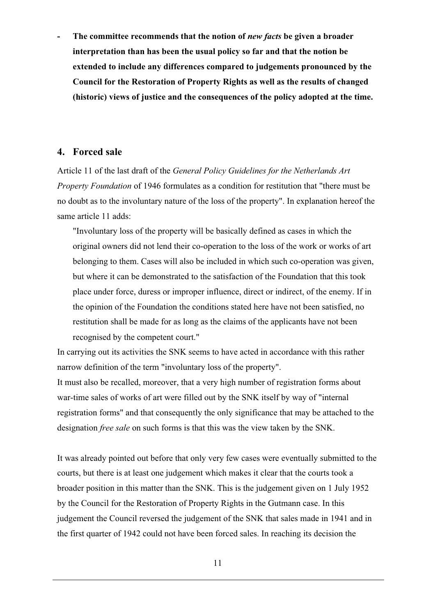**- The committee recommends that the notion of** *new facts* **be given a broader interpretation than has been the usual policy so far and that the notion be extended to include any differences compared to judgements pronounced by the Council for the Restoration of Property Rights as well as the results of changed (historic) views of justice and the consequences of the policy adopted at the time.**

### **4. Forced sale**

Article 11 of the last draft of the *General Policy Guidelines for the Netherlands Art Property Foundation* of 1946 formulates as a condition for restitution that "there must be no doubt as to the involuntary nature of the loss of the property". In explanation hereof the same article 11 adds:

"Involuntary loss of the property will be basically defined as cases in which the original owners did not lend their co-operation to the loss of the work or works of art belonging to them. Cases will also be included in which such co-operation was given, but where it can be demonstrated to the satisfaction of the Foundation that this took place under force, duress or improper influence, direct or indirect, of the enemy. If in the opinion of the Foundation the conditions stated here have not been satisfied, no restitution shall be made for as long as the claims of the applicants have not been recognised by the competent court."

In carrying out its activities the SNK seems to have acted in accordance with this rather narrow definition of the term "involuntary loss of the property".

It must also be recalled, moreover, that a very high number of registration forms about war-time sales of works of art were filled out by the SNK itself by way of "internal registration forms" and that consequently the only significance that may be attached to the designation *free sale* on such forms is that this was the view taken by the SNK.

It was already pointed out before that only very few cases were eventually submitted to the courts, but there is at least one judgement which makes it clear that the courts took a broader position in this matter than the SNK. This is the judgement given on 1 July 1952 by the Council for the Restoration of Property Rights in the Gutmann case. In this judgement the Council reversed the judgement of the SNK that sales made in 1941 and in the first quarter of 1942 could not have been forced sales. In reaching its decision the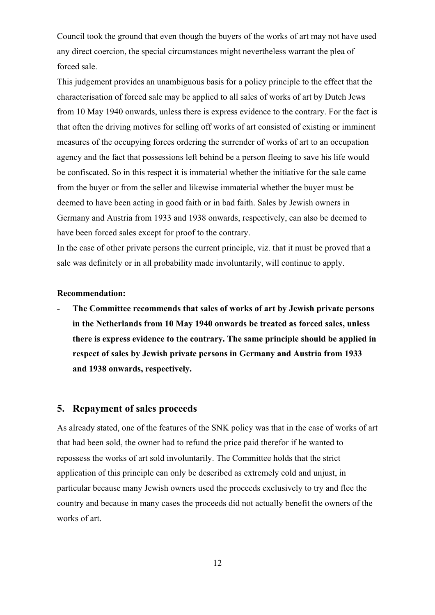Council took the ground that even though the buyers of the works of art may not have used any direct coercion, the special circumstances might nevertheless warrant the plea of forced sale.

This judgement provides an unambiguous basis for a policy principle to the effect that the characterisation of forced sale may be applied to all sales of works of art by Dutch Jews from 10 May 1940 onwards, unless there is express evidence to the contrary. For the fact is that often the driving motives for selling off works of art consisted of existing or imminent measures of the occupying forces ordering the surrender of works of art to an occupation agency and the fact that possessions left behind be a person fleeing to save his life would be confiscated. So in this respect it is immaterial whether the initiative for the sale came from the buyer or from the seller and likewise immaterial whether the buyer must be deemed to have been acting in good faith or in bad faith. Sales by Jewish owners in Germany and Austria from 1933 and 1938 onwards, respectively, can also be deemed to have been forced sales except for proof to the contrary.

In the case of other private persons the current principle, viz. that it must be proved that a sale was definitely or in all probability made involuntarily, will continue to apply.

### **Recommendation:**

**- The Committee recommends that sales of works of art by Jewish private persons in the Netherlands from 10 May 1940 onwards be treated as forced sales, unless there is express evidence to the contrary. The same principle should be applied in respect of sales by Jewish private persons in Germany and Austria from 1933 and 1938 onwards, respectively.**

### **5. Repayment of sales proceeds**

As already stated, one of the features of the SNK policy was that in the case of works of art that had been sold, the owner had to refund the price paid therefor if he wanted to repossess the works of art sold involuntarily. The Committee holds that the strict application of this principle can only be described as extremely cold and unjust, in particular because many Jewish owners used the proceeds exclusively to try and flee the country and because in many cases the proceeds did not actually benefit the owners of the works of art.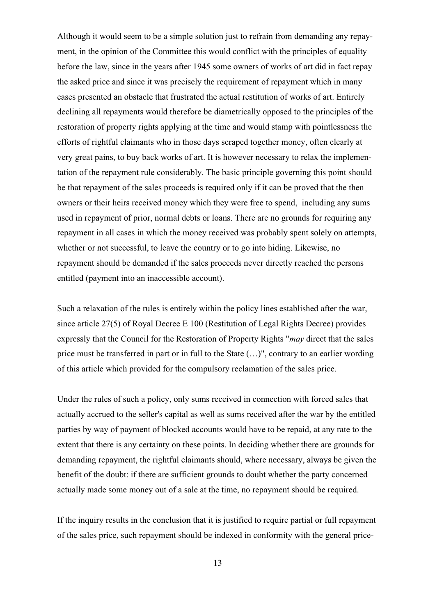Although it would seem to be a simple solution just to refrain from demanding any repayment, in the opinion of the Committee this would conflict with the principles of equality before the law, since in the years after 1945 some owners of works of art did in fact repay the asked price and since it was precisely the requirement of repayment which in many cases presented an obstacle that frustrated the actual restitution of works of art. Entirely declining all repayments would therefore be diametrically opposed to the principles of the restoration of property rights applying at the time and would stamp with pointlessness the efforts of rightful claimants who in those days scraped together money, often clearly at very great pains, to buy back works of art. It is however necessary to relax the implementation of the repayment rule considerably. The basic principle governing this point should be that repayment of the sales proceeds is required only if it can be proved that the then owners or their heirs received money which they were free to spend, including any sums used in repayment of prior, normal debts or loans. There are no grounds for requiring any repayment in all cases in which the money received was probably spent solely on attempts, whether or not successful, to leave the country or to go into hiding. Likewise, no repayment should be demanded if the sales proceeds never directly reached the persons entitled (payment into an inaccessible account).

Such a relaxation of the rules is entirely within the policy lines established after the war, since article 27(5) of Royal Decree E 100 (Restitution of Legal Rights Decree) provides expressly that the Council for the Restoration of Property Rights "*may* direct that the sales price must be transferred in part or in full to the State (…)", contrary to an earlier wording of this article which provided for the compulsory reclamation of the sales price.

Under the rules of such a policy, only sums received in connection with forced sales that actually accrued to the seller's capital as well as sums received after the war by the entitled parties by way of payment of blocked accounts would have to be repaid, at any rate to the extent that there is any certainty on these points. In deciding whether there are grounds for demanding repayment, the rightful claimants should, where necessary, always be given the benefit of the doubt: if there are sufficient grounds to doubt whether the party concerned actually made some money out of a sale at the time, no repayment should be required.

If the inquiry results in the conclusion that it is justified to require partial or full repayment of the sales price, such repayment should be indexed in conformity with the general price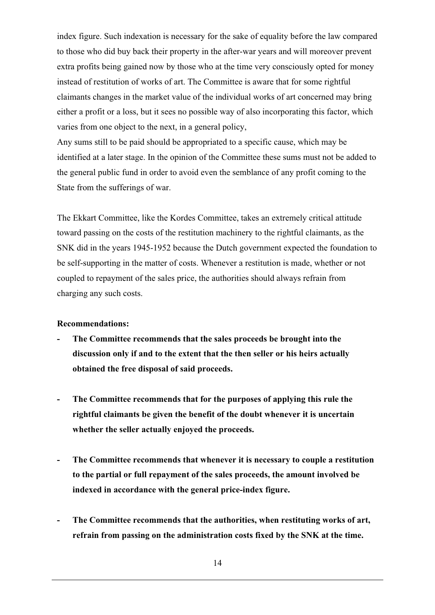index figure. Such indexation is necessary for the sake of equality before the law compared to those who did buy back their property in the after-war years and will moreover prevent extra profits being gained now by those who at the time very consciously opted for money instead of restitution of works of art. The Committee is aware that for some rightful claimants changes in the market value of the individual works of art concerned may bring either a profit or a loss, but it sees no possible way of also incorporating this factor, which varies from one object to the next, in a general policy,

Any sums still to be paid should be appropriated to a specific cause, which may be identified at a later stage. In the opinion of the Committee these sums must not be added to the general public fund in order to avoid even the semblance of any profit coming to the State from the sufferings of war.

The Ekkart Committee, like the Kordes Committee, takes an extremely critical attitude toward passing on the costs of the restitution machinery to the rightful claimants, as the SNK did in the years 1945-1952 because the Dutch government expected the foundation to be self-supporting in the matter of costs. Whenever a restitution is made, whether or not coupled to repayment of the sales price, the authorities should always refrain from charging any such costs.

### **Recommendations:**

- **The Committee recommends that the sales proceeds be brought into the discussion only if and to the extent that the then seller or his heirs actually obtained the free disposal of said proceeds.**
- **The Committee recommends that for the purposes of applying this rule the rightful claimants be given the benefit of the doubt whenever it is uncertain whether the seller actually enjoyed the proceeds.**
- **The Committee recommends that whenever it is necessary to couple a restitution to the partial or full repayment of the sales proceeds, the amount involved be indexed in accordance with the general price-index figure.**
- **The Committee recommends that the authorities, when restituting works of art, refrain from passing on the administration costs fixed by the SNK at the time.**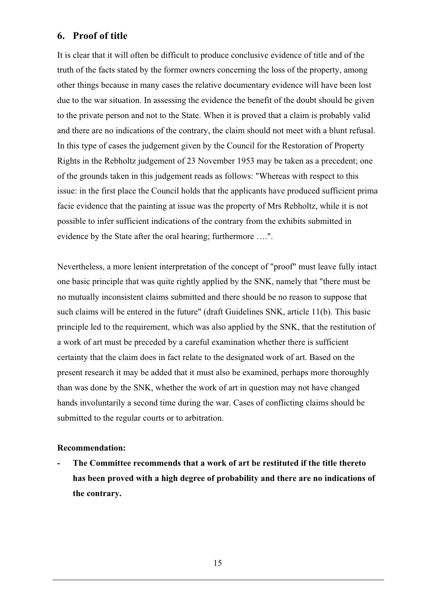# **6. Proof of title**

It is clear that it will often be difficult to produce conclusive evidence of title and of the truth of the facts stated by the former owners concerning the loss of the property, among other things because in many cases the relative documentary evidence will have been lost due to the war situation. In assessing the evidence the benefit of the doubt should be given to the private person and not to the State. When it is proved that a claim is probably valid and there are no indications of the contrary, the claim should not meet with a blunt refusal. In this type of cases the judgement given by the Council for the Restoration of Property Rights in the Rebholtz judgement of 23 November 1953 may be taken as a precedent; one of the grounds taken in this judgement reads as follows: "Whereas with respect to this issue: in the first place the Council holds that the applicants have produced sufficient prima facie evidence that the painting at issue was the property of Mrs Rebholtz, while it is not possible to infer sufficient indications of the contrary from the exhibits submitted in evidence by the State after the oral hearing; furthermore ….".

Nevertheless, a more lenient interpretation of the concept of "proof" must leave fully intact one basic principle that was quite rightly applied by the SNK, namely that "there must be no mutually inconsistent claims submitted and there should be no reason to suppose that such claims will be entered in the future" (draft Guidelines SNK, article 11(b). This basic principle led to the requirement, which was also applied by the SNK, that the restitution of a work of art must be preceded by a careful examination whether there is sufficient certainty that the claim does in fact relate to the designated work of art. Based on the present research it may be added that it must also be examined, perhaps more thoroughly than was done by the SNK, whether the work of art in question may not have changed hands involuntarily a second time during the war. Cases of conflicting claims should be submitted to the regular courts or to arbitration.

### **Recommendation:**

**- The Committee recommends that a work of art be restituted if the title thereto has been proved with a high degree of probability and there are no indications of the contrary.**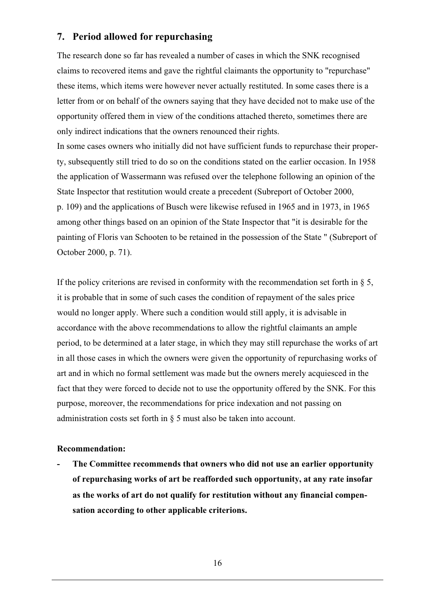# **7. Period allowed for repurchasing**

The research done so far has revealed a number of cases in which the SNK recognised claims to recovered items and gave the rightful claimants the opportunity to "repurchase" these items, which items were however never actually restituted. In some cases there is a letter from or on behalf of the owners saying that they have decided not to make use of the opportunity offered them in view of the conditions attached thereto, sometimes there are only indirect indications that the owners renounced their rights.

In some cases owners who initially did not have sufficient funds to repurchase their property, subsequently still tried to do so on the conditions stated on the earlier occasion. In 1958 the application of Wassermann was refused over the telephone following an opinion of the State Inspector that restitution would create a precedent (Subreport of October 2000, p. 109) and the applications of Busch were likewise refused in 1965 and in 1973, in 1965 among other things based on an opinion of the State Inspector that "it is desirable for the painting of Floris van Schooten to be retained in the possession of the State " (Subreport of October 2000, p. 71).

If the policy criterions are revised in conformity with the recommendation set forth in  $\S$  5, it is probable that in some of such cases the condition of repayment of the sales price would no longer apply. Where such a condition would still apply, it is advisable in accordance with the above recommendations to allow the rightful claimants an ample period, to be determined at a later stage, in which they may still repurchase the works of art in all those cases in which the owners were given the opportunity of repurchasing works of art and in which no formal settlement was made but the owners merely acquiesced in the fact that they were forced to decide not to use the opportunity offered by the SNK. For this purpose, moreover, the recommendations for price indexation and not passing on administration costs set forth in § 5 must also be taken into account.

### **Recommendation:**

**as the works of art do not qualify for restitution without any financial compensation according to other applicable criterions. - The Committee recommends that owners who did not use an earlier opportunity of repurchasing works of art be reafforded such opportunity, at any rate insofar**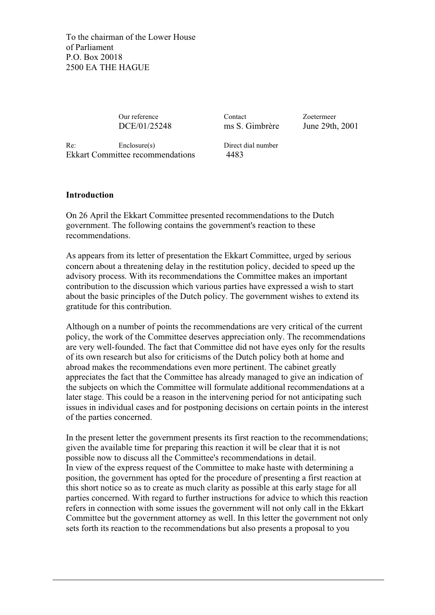To the chairman of the Lower House of Parliament P.O. Box 20018 2500 EA THE HAGUE

DCE/01/25248 ms S. Gimbrère June 29th, 2001

Our reference Contact Zoetermeer

Re: Enclosure(s) Direct dial number Ekkart Committee recommendations 4483

### **Introduction**

On 26 April the Ekkart Committee presented recommendations to the Dutch government. The following contains the government's reaction to these recommendations.

As appears from its letter of presentation the Ekkart Committee, urged by serious concern about a threatening delay in the restitution policy, decided to speed up the advisory process. With its recommendations the Committee makes an important contribution to the discussion which various parties have expressed a wish to start about the basic principles of the Dutch policy. The government wishes to extend its gratitude for this contribution.

Although on a number of points the recommendations are very critical of the current policy, the work of the Committee deserves appreciation only. The recommendations are very well-founded. The fact that Committee did not have eyes only for the results of its own research but also for criticisms of the Dutch policy both at home and abroad makes the recommendations even more pertinent. The cabinet greatly appreciates the fact that the Committee has already managed to give an indication of the subjects on which the Committee will formulate additional recommendations at a later stage. This could be a reason in the intervening period for not anticipating such issues in individual cases and for postponing decisions on certain points in the interest of the parties concerned.

In the present letter the government presents its first reaction to the recommendations; given the available time for preparing this reaction it will be clear that it is not possible now to discuss all the Committee's recommendations in detail. In view of the express request of the Committee to make haste with determining a position, the government has opted for the procedure of presenting a first reaction at this short notice so as to create as much clarity as possible at this early stage for all parties concerned. With regard to further instructions for advice to which this reaction refers in connection with some issues the government will not only call in the Ekkart Committee but the government attorney as well. In this letter the government not only sets forth its reaction to the recommendations but also presents a proposal to you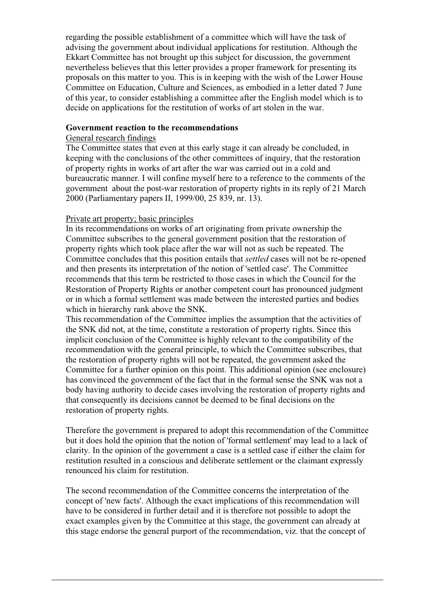regarding the possible establishment of a committee which will have the task of advising the government about individual applications for restitution. Although the Ekkart Committee has not brought up this subject for discussion, the government nevertheless believes that this letter provides a proper framework for presenting its proposals on this matter to you. This is in keeping with the wish of the Lower House Committee on Education, Culture and Sciences, as embodied in a letter dated 7 June of this year, to consider establishing a committee after the English model which is to decide on applications for the restitution of works of art stolen in the war.

### **Government reaction to the recommendations**

### General research findings

The Committee states that even at this early stage it can already be concluded, in keeping with the conclusions of the other committees of inquiry, that the restoration of property rights in works of art after the war was carried out in a cold and bureaucratic manner. I will confine myself here to a reference to the comments of the government about the post-war restoration of property rights in its reply of 21 March 2000 (Parliamentary papers II, 1999/00, 25 839, nr. 13).

## Private art property; basic principles

In its recommendations on works of art originating from private ownership the Committee subscribes to the general government position that the restoration of property rights which took place after the war will not as such be repeated. The Committee concludes that this position entails that *settled* cases will not be re-opened and then presents its interpretation of the notion of 'settled case'. The Committee recommends that this term be restricted to those cases in which the Council for the Restoration of Property Rights or another competent court has pronounced judgment or in which a formal settlement was made between the interested parties and bodies which in hierarchy rank above the SNK.

This recommendation of the Committee implies the assumption that the activities of the SNK did not, at the time, constitute a restoration of property rights. Since this implicit conclusion of the Committee is highly relevant to the compatibility of the recommendation with the general principle, to which the Committee subscribes, that the restoration of property rights will not be repeated, the government asked the Committee for a further opinion on this point. This additional opinion (see enclosure) has convinced the government of the fact that in the formal sense the SNK was not a body having authority to decide cases involving the restoration of property rights and that consequently its decisions cannot be deemed to be final decisions on the restoration of property rights.

Therefore the government is prepared to adopt this recommendation of the Committee but it does hold the opinion that the notion of 'formal settlement' may lead to a lack of clarity. In the opinion of the government a case is a settled case if either the claim for restitution resulted in a conscious and deliberate settlement or the claimant expressly renounced his claim for restitution.

The second recommendation of the Committee concerns the interpretation of the concept of 'new facts'. Although the exact implications of this recommendation will have to be considered in further detail and it is therefore not possible to adopt the exact examples given by the Committee at this stage, the government can already at this stage endorse the general purport of the recommendation, viz. that the concept of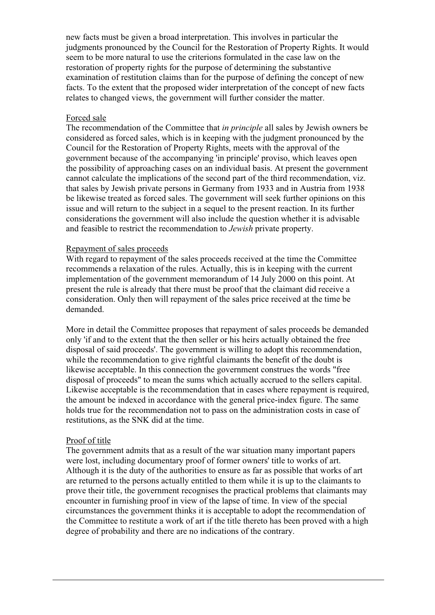new facts must be given a broad interpretation. This involves in particular the judgments pronounced by the Council for the Restoration of Property Rights. It would seem to be more natural to use the criterions formulated in the case law on the restoration of property rights for the purpose of determining the substantive examination of restitution claims than for the purpose of defining the concept of new facts. To the extent that the proposed wider interpretation of the concept of new facts relates to changed views, the government will further consider the matter.

### Forced sale

The recommendation of the Committee that *in principle* all sales by Jewish owners be considered as forced sales, which is in keeping with the judgment pronounced by the Council for the Restoration of Property Rights, meets with the approval of the government because of the accompanying 'in principle' proviso, which leaves open the possibility of approaching cases on an individual basis. At present the government cannot calculate the implications of the second part of the third recommendation, viz. that sales by Jewish private persons in Germany from 1933 and in Austria from 1938 be likewise treated as forced sales. The government will seek further opinions on this issue and will return to the subject in a sequel to the present reaction. In its further considerations the government will also include the question whether it is advisable and feasible to restrict the recommendation to *Jewish* private property.

### Repayment of sales proceeds

With regard to repayment of the sales proceeds received at the time the Committee recommends a relaxation of the rules. Actually, this is in keeping with the current implementation of the government memorandum of 14 July 2000 on this point. At present the rule is already that there must be proof that the claimant did receive a consideration. Only then will repayment of the sales price received at the time be demanded.

More in detail the Committee proposes that repayment of sales proceeds be demanded only 'if and to the extent that the then seller or his heirs actually obtained the free disposal of said proceeds'. The government is willing to adopt this recommendation, while the recommendation to give rightful claimants the benefit of the doubt is likewise acceptable. In this connection the government construes the words "free disposal of proceeds" to mean the sums which actually accrued to the sellers capital. Likewise acceptable is the recommendation that in cases where repayment is required, the amount be indexed in accordance with the general price-index figure. The same holds true for the recommendation not to pass on the administration costs in case of restitutions, as the SNK did at the time.

### Proof of title

The government admits that as a result of the war situation many important papers were lost, including documentary proof of former owners' title to works of art. Although it is the duty of the authorities to ensure as far as possible that works of art are returned to the persons actually entitled to them while it is up to the claimants to prove their title, the government recognises the practical problems that claimants may encounter in furnishing proof in view of the lapse of time. In view of the special circumstances the government thinks it is acceptable to adopt the recommendation of the Committee to restitute a work of art if the title thereto has been proved with a high degree of probability and there are no indications of the contrary.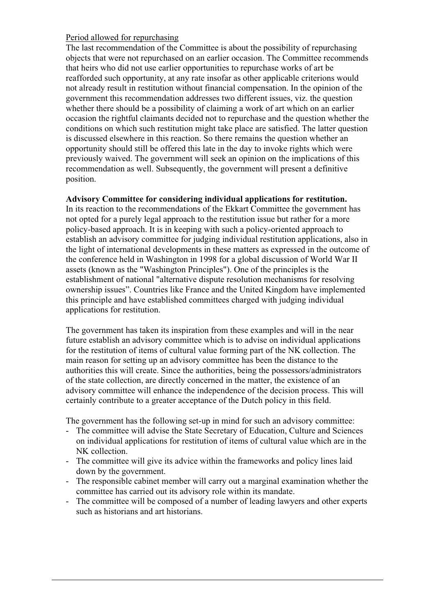### Period allowed for repurchasing

The last recommendation of the Committee is about the possibility of repurchasing objects that were not repurchased on an earlier occasion. The Committee recommends that heirs who did not use earlier opportunities to repurchase works of art be reafforded such opportunity, at any rate insofar as other applicable criterions would not already result in restitution without financial compensation. In the opinion of the government this recommendation addresses two different issues, viz. the question whether there should be a possibility of claiming a work of art which on an earlier occasion the rightful claimants decided not to repurchase and the question whether the conditions on which such restitution might take place are satisfied. The latter question is discussed elsewhere in this reaction. So there remains the question whether an opportunity should still be offered this late in the day to invoke rights which were previously waived. The government will seek an opinion on the implications of this recommendation as well. Subsequently, the government will present a definitive position.

### **Advisory Committee for considering individual applications for restitution.**

In its reaction to the recommendations of the Ekkart Committee the government has not opted for a purely legal approach to the restitution issue but rather for a more policy-based approach. It is in keeping with such a policy-oriented approach to establish an advisory committee for judging individual restitution applications, also in the light of international developments in these matters as expressed in the outcome of the conference held in Washington in 1998 for a global discussion of World War II assets (known as the "Washington Principles"). One of the principles is the establishment of national "alternative dispute resolution mechanisms for resolving ownership issues". Countries like France and the United Kingdom have implemented this principle and have established committees charged with judging individual applications for restitution.

The government has taken its inspiration from these examples and will in the near future establish an advisory committee which is to advise on individual applications for the restitution of items of cultural value forming part of the NK collection. The main reason for setting up an advisory committee has been the distance to the authorities this will create. Since the authorities, being the possessors/administrators of the state collection, are directly concerned in the matter, the existence of an advisory committee will enhance the independence of the decision process. This will certainly contribute to a greater acceptance of the Dutch policy in this field.

The government has the following set-up in mind for such an advisory committee:

- The committee will advise the State Secretary of Education, Culture and Sciences on individual applications for restitution of items of cultural value which are in the NK collection.
- The committee will give its advice within the frameworks and policy lines laid down by the government.
- The responsible cabinet member will carry out a marginal examination whether the committee has carried out its advisory role within its mandate.
- The committee will be composed of a number of leading lawyers and other experts such as historians and art historians.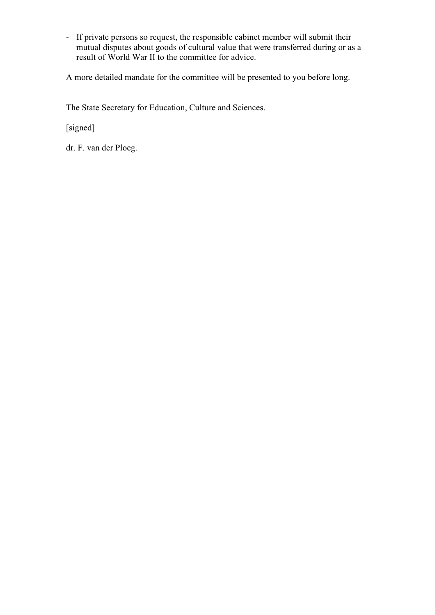- If private persons so request, the responsible cabinet member will submit their mutual disputes about goods of cultural value that were transferred during or as a result of World War II to the committee for advice.

A more detailed mandate for the committee will be presented to you before long.

The State Secretary for Education, Culture and Sciences.

[signed]

dr. F. van der Ploeg.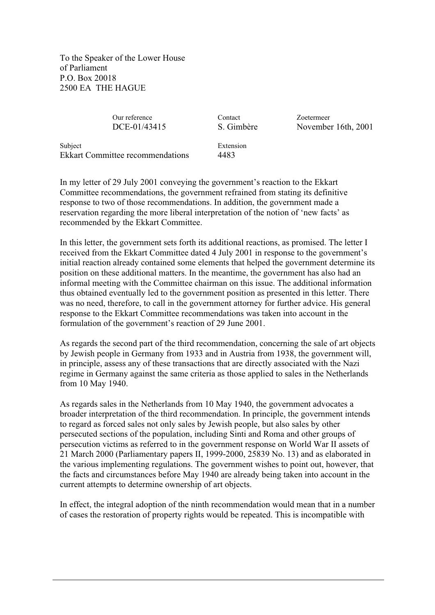To the Speaker of the Lower House of Parliament P.O. Box 20018 2500 EA THE HAGUE

Our reference Contact Zoetermeer

DCE-01/43415 S. Gimbère November 16th, 2001

Subject Extension Ekkart Committee recommendations 4483

In my letter of 29 July 2001 conveying the government's reaction to the Ekkart Committee recommendations, the government refrained from stating its definitive response to two of those recommendations. In addition, the government made a reservation regarding the more liberal interpretation of the notion of 'new facts' as recommended by the Ekkart Committee.

In this letter, the government sets forth its additional reactions, as promised. The letter I received from the Ekkart Committee dated 4 July 2001 in response to the government's initial reaction already contained some elements that helped the government determine its position on these additional matters. In the meantime, the government has also had an informal meeting with the Committee chairman on this issue. The additional information thus obtained eventually led to the government position as presented in this letter. There was no need, therefore, to call in the government attorney for further advice. His general response to the Ekkart Committee recommendations was taken into account in the formulation of the government's reaction of 29 June 2001.

As regards the second part of the third recommendation, concerning the sale of art objects by Jewish people in Germany from 1933 and in Austria from 1938, the government will, in principle, assess any of these transactions that are directly associated with the Nazi regime in Germany against the same criteria as those applied to sales in the Netherlands from 10 May 1940.

As regards sales in the Netherlands from 10 May 1940, the government advocates a broader interpretation of the third recommendation. In principle, the government intends to regard as forced sales not only sales by Jewish people, but also sales by other persecuted sections of the population, including Sinti and Roma and other groups of persecution victims as referred to in the government response on World War II assets of 21 March 2000 (Parliamentary papers II, 1999-2000, 25839 No. 13) and as elaborated in the various implementing regulations. The government wishes to point out, however, that the facts and circumstances before May 1940 are already being taken into account in the current attempts to determine ownership of art objects.

In effect, the integral adoption of the ninth recommendation would mean that in a number of cases the restoration of property rights would be repeated. This is incompatible with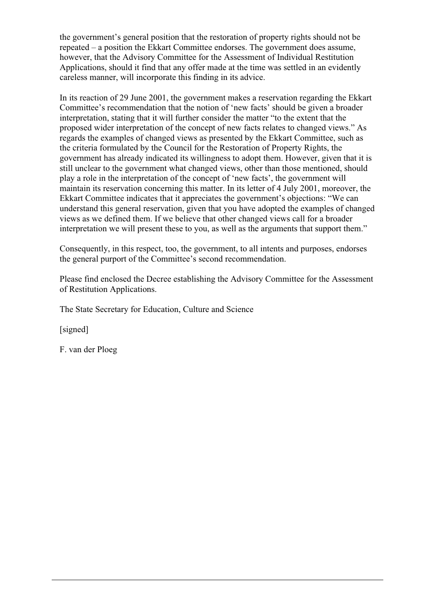the government's general position that the restoration of property rights should not be repeated – a position the Ekkart Committee endorses. The government does assume, however, that the Advisory Committee for the Assessment of Individual Restitution Applications, should it find that any offer made at the time was settled in an evidently careless manner, will incorporate this finding in its advice.

In its reaction of 29 June 2001, the government makes a reservation regarding the Ekkart Committee's recommendation that the notion of 'new facts' should be given a broader interpretation, stating that it will further consider the matter "to the extent that the proposed wider interpretation of the concept of new facts relates to changed views." As regards the examples of changed views as presented by the Ekkart Committee, such as the criteria formulated by the Council for the Restoration of Property Rights, the government has already indicated its willingness to adopt them. However, given that it is still unclear to the government what changed views, other than those mentioned, should play a role in the interpretation of the concept of 'new facts', the government will maintain its reservation concerning this matter. In its letter of 4 July 2001, moreover, the Ekkart Committee indicates that it appreciates the government's objections: "We can understand this general reservation, given that you have adopted the examples of changed views as we defined them. If we believe that other changed views call for a broader interpretation we will present these to you, as well as the arguments that support them."

Consequently, in this respect, too, the government, to all intents and purposes, endorses the general purport of the Committee's second recommendation.

Please find enclosed the Decree establishing the Advisory Committee for the Assessment of Restitution Applications.

The State Secretary for Education, Culture and Science

[signed]

F. van der Ploeg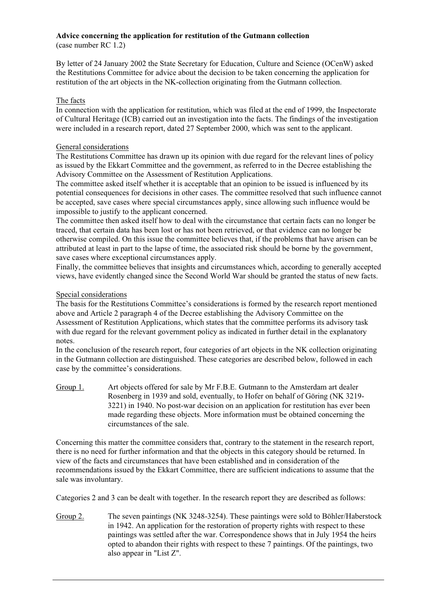### **Advice concerning the application for restitution of the Gutmann collection**

(case number RC 1.2)

By letter of 24 January 2002 the State Secretary for Education, Culture and Science (OCenW) asked the Restitutions Committee for advice about the decision to be taken concerning the application for restitution of the art objects in the NK-collection originating from the Gutmann collection.

### The facts

In connection with the application for restitution, which was filed at the end of 1999, the Inspectorate of Cultural Heritage (ICB) carried out an investigation into the facts. The findings of the investigation were included in a research report, dated 27 September 2000, which was sent to the applicant.

### General considerations

The Restitutions Committee has drawn up its opinion with due regard for the relevant lines of policy as issued by the Ekkart Committee and the government, as referred to in the Decree establishing the Advisory Committee on the Assessment of Restitution Applications.

The committee asked itself whether it is acceptable that an opinion to be issued is influenced by its potential consequences for decisions in other cases. The committee resolved that such influence cannot be accepted, save cases where special circumstances apply, since allowing such influence would be impossible to justify to the applicant concerned.

The committee then asked itself how to deal with the circumstance that certain facts can no longer be traced, that certain data has been lost or has not been retrieved, or that evidence can no longer be otherwise compiled. On this issue the committee believes that, if the problems that have arisen can be attributed at least in part to the lapse of time, the associated risk should be borne by the government, save cases where exceptional circumstances apply.

Finally, the committee believes that insights and circumstances which, according to generally accepted views, have evidently changed since the Second World War should be granted the status of new facts.

### Special considerations

The basis for the Restitutions Committee's considerations is formed by the research report mentioned above and Article 2 paragraph 4 of the Decree establishing the Advisory Committee on the Assessment of Restitution Applications, which states that the committee performs its advisory task with due regard for the relevant government policy as indicated in further detail in the explanatory notes.

In the conclusion of the research report, four categories of art objects in the NK collection originating in the Gutmann collection are distinguished. These categories are described below, followed in each case by the committee's considerations.

Group 1. Art objects offered for sale by Mr F.B.E. Gutmann to the Amsterdam art dealer Rosenberg in 1939 and sold, eventually, to Hofer on behalf of Göring (NK 3219- 3221) in 1940. No post-war decision on an application for restitution has ever been made regarding these objects. More information must be obtained concerning the circumstances of the sale.

Concerning this matter the committee considers that, contrary to the statement in the research report, there is no need for further information and that the objects in this category should be returned. In view of the facts and circumstances that have been established and in consideration of the recommendations issued by the Ekkart Committee, there are sufficient indications to assume that the sale was involuntary.

Categories 2 and 3 can be dealt with together. In the research report they are described as follows:

Group 2. The seven paintings (NK 3248-3254). These paintings were sold to Böhler/Haberstock in 1942. An application for the restoration of property rights with respect to these paintings was settled after the war. Correspondence shows that in July 1954 the heirs opted to abandon their rights with respect to these 7 paintings. Of the paintings, two also appear in "List Z".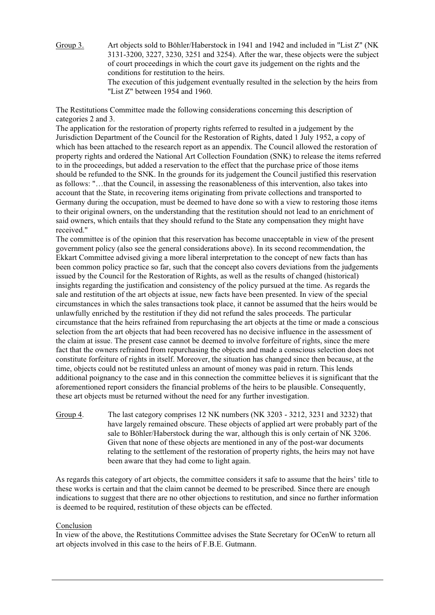Group 3. Art objects sold to Böhler/Haberstock in 1941 and 1942 and included in "List Z" (NK 3131-3200, 3227, 3230, 3251 and 3254). After the war, these objects were the subject of court proceedings in which the court gave its judgement on the rights and the conditions for restitution to the heirs. The execution of this judgement eventually resulted in the selection by the heirs from "List Z" between 1954 and 1960.

The Restitutions Committee made the following considerations concerning this description of categories 2 and 3.

The application for the restoration of property rights referred to resulted in a judgement by the Jurisdiction Department of the Council for the Restoration of Rights, dated 1 July 1952, a copy of which has been attached to the research report as an appendix. The Council allowed the restoration of property rights and ordered the National Art Collection Foundation (SNK) to release the items referred to in the proceedings, but added a reservation to the effect that the purchase price of those items should be refunded to the SNK. In the grounds for its judgement the Council justified this reservation as follows: "…that the Council, in assessing the reasonableness of this intervention, also takes into account that the State, in recovering items originating from private collections and transported to Germany during the occupation, must be deemed to have done so with a view to restoring those items to their original owners, on the understanding that the restitution should not lead to an enrichment of said owners, which entails that they should refund to the State any compensation they might have received."

The committee is of the opinion that this reservation has become unacceptable in view of the present government policy (also see the general considerations above). In its second recommendation, the Ekkart Committee advised giving a more liberal interpretation to the concept of new facts than has been common policy practice so far, such that the concept also covers deviations from the judgements issued by the Council for the Restoration of Rights, as well as the results of changed (historical) insights regarding the justification and consistency of the policy pursued at the time. As regards the sale and restitution of the art objects at issue, new facts have been presented. In view of the special circumstances in which the sales transactions took place, it cannot be assumed that the heirs would be unlawfully enriched by the restitution if they did not refund the sales proceeds. The particular circumstance that the heirs refrained from repurchasing the art objects at the time or made a conscious selection from the art objects that had been recovered has no decisive influence in the assessment of the claim at issue. The present case cannot be deemed to involve forfeiture of rights, since the mere fact that the owners refrained from repurchasing the objects and made a conscious selection does not constitute forfeiture of rights in itself. Moreover, the situation has changed since then because, at the time, objects could not be restituted unless an amount of money was paid in return. This lends additional poignancy to the case and in this connection the committee believes it is significant that the aforementioned report considers the financial problems of the heirs to be plausible. Consequently, these art objects must be returned without the need for any further investigation.

Group 4. The last category comprises 12 NK numbers (NK 3203 - 3212, 3231 and 3232) that have largely remained obscure. These objects of applied art were probably part of the sale to Böhler/Haberstock during the war, although this is only certain of NK 3206. Given that none of these objects are mentioned in any of the post-war documents relating to the settlement of the restoration of property rights, the heirs may not have been aware that they had come to light again.

As regards this category of art objects, the committee considers it safe to assume that the heirs' title to these works is certain and that the claim cannot be deemed to be prescribed. Since there are enough indications to suggest that there are no other objections to restitution, and since no further information is deemed to be required, restitution of these objects can be effected.

## Conclusion

In view of the above, the Restitutions Committee advises the State Secretary for OCenW to return all art objects involved in this case to the heirs of F.B.E. Gutmann.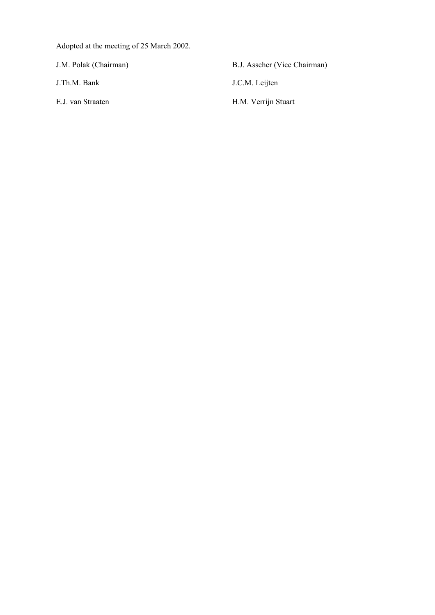Adopted at the meeting of 25 March 2002.

J.M. Polak (Chairman) B.J. Asscher (Vice Chairman)

J.Th.M. Bank J.C.M. Leijten

E.J. van Straaten H.M. Verrijn Stuart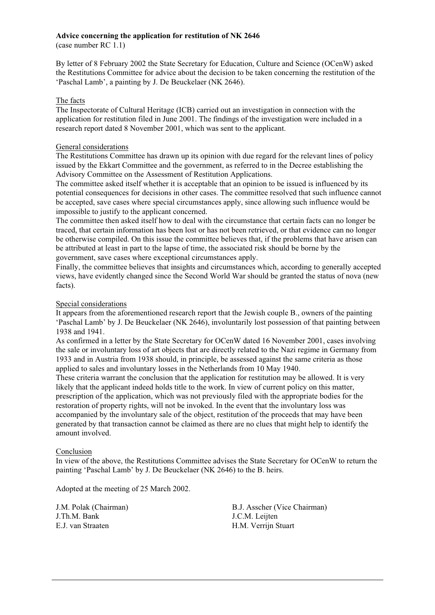## **Advice concerning the application for restitution of NK 2646**

(case number RC 1.1)

By letter of 8 February 2002 the State Secretary for Education, Culture and Science (OCenW) asked the Restitutions Committee for advice about the decision to be taken concerning the restitution of the 'Paschal Lamb', a painting by J. De Beuckelaer (NK 2646).

## The facts

The Inspectorate of Cultural Heritage (ICB) carried out an investigation in connection with the application for restitution filed in June 2001. The findings of the investigation were included in a research report dated 8 November 2001, which was sent to the applicant.

#### General considerations

The Restitutions Committee has drawn up its opinion with due regard for the relevant lines of policy issued by the Ekkart Committee and the government, as referred to in the Decree establishing the Advisory Committee on the Assessment of Restitution Applications.

The committee asked itself whether it is acceptable that an opinion to be issued is influenced by its potential consequences for decisions in other cases. The committee resolved that such influence cannot be accepted, save cases where special circumstances apply, since allowing such influence would be impossible to justify to the applicant concerned.

The committee then asked itself how to deal with the circumstance that certain facts can no longer be traced, that certain information has been lost or has not been retrieved, or that evidence can no longer be otherwise compiled. On this issue the committee believes that, if the problems that have arisen can be attributed at least in part to the lapse of time, the associated risk should be borne by the government, save cases where exceptional circumstances apply.

Finally, the committee believes that insights and circumstances which, according to generally accepted views, have evidently changed since the Second World War should be granted the status of nova (new facts).

## Special considerations

It appears from the aforementioned research report that the Jewish couple B., owners of the painting 'Paschal Lamb' by J. De Beuckelaer (NK 2646), involuntarily lost possession of that painting between 1938 and 1941.

As confirmed in a letter by the State Secretary for OCenW dated 16 November 2001, cases involving the sale or involuntary loss of art objects that are directly related to the Nazi regime in Germany from 1933 and in Austria from 1938 should, in principle, be assessed against the same criteria as those applied to sales and involuntary losses in the Netherlands from 10 May 1940.

These criteria warrant the conclusion that the application for restitution may be allowed. It is very likely that the applicant indeed holds title to the work. In view of current policy on this matter, prescription of the application, which was not previously filed with the appropriate bodies for the restoration of property rights, will not be invoked. In the event that the involuntary loss was accompanied by the involuntary sale of the object, restitution of the proceeds that may have been generated by that transaction cannot be claimed as there are no clues that might help to identify the amount involved.

## Conclusion

In view of the above, the Restitutions Committee advises the State Secretary for OCenW to return the painting 'Paschal Lamb' by J. De Beuckelaer (NK 2646) to the B. heirs.

Adopted at the meeting of 25 March 2002.

J.Th.M. Bank J.C.M. Leijten E.J. van Straaten H.M. Verrijn Stuart

J.M. Polak (Chairman) B.J. Asscher (Vice Chairman)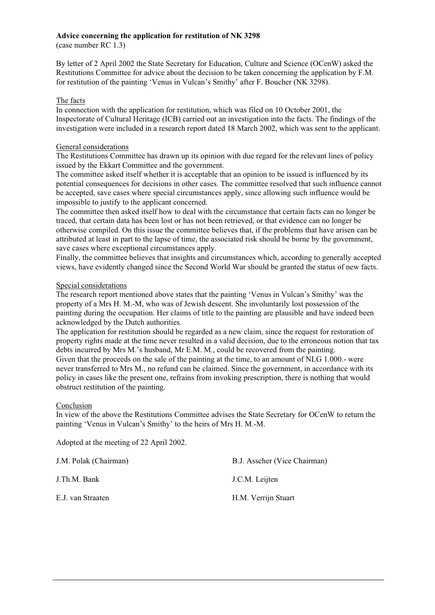## **Advice concerning the application for restitution of NK 3298**

(case number RC 1.3)

By letter of 2 April 2002 the State Secretary for Education, Culture and Science (OCenW) asked the Restitutions Committee for advice about the decision to be taken concerning the application by F.M. for restitution of the painting 'Venus in Vulcan's Smithy' after F. Boucher (NK 3298).

## The facts

In connection with the application for restitution, which was filed on 10 October 2001, the Inspectorate of Cultural Heritage (ICB) carried out an investigation into the facts. The findings of the investigation were included in a research report dated 18 March 2002, which was sent to the applicant.

## General considerations

The Restitutions Committee has drawn up its opinion with due regard for the relevant lines of policy issued by the Ekkart Committee and the government.

The committee asked itself whether it is acceptable that an opinion to be issued is influenced by its potential consequences for decisions in other cases. The committee resolved that such influence cannot be accepted, save cases where special circumstances apply, since allowing such influence would be impossible to justify to the applicant concerned.

The committee then asked itself how to deal with the circumstance that certain facts can no longer be traced, that certain data has been lost or has not been retrieved, or that evidence can no longer be otherwise compiled. On this issue the committee believes that, if the problems that have arisen can be attributed at least in part to the lapse of time, the associated risk should be borne by the government, save cases where exceptional circumstances apply.

Finally, the committee believes that insights and circumstances which, according to generally accepted views, have evidently changed since the Second World War should be granted the status of new facts.

## Special considerations

The research report mentioned above states that the painting 'Venus in Vulcan's Smithy' was the property of a Mrs H. M.-M, who was of Jewish descent. She involuntarily lost possession of the painting during the occupation. Her claims of title to the painting are plausible and have indeed been acknowledged by the Dutch authorities.

The application for restitution should be regarded as a new claim, since the request for restoration of property rights made at the time never resulted in a valid decision, due to the erroneous notion that tax debts incurred by Mrs M.'s husband, Mr E.M. M., could be recovered from the painting. Given that the proceeds on the sale of the painting at the time, to an amount of NLG 1.000.- were never transferred to Mrs M., no refund can be claimed. Since the government, in accordance with its policy in cases like the present one, refrains from invoking prescription, there is nothing that would obstruct restitution of the painting.

## Conclusion

In view of the above the Restitutions Committee advises the State Secretary for OCenW to return the painting 'Venus in Vulcan's Smithy' to the heirs of Mrs H. M.-M.

Adopted at the meeting of 22 April 2002.

| J.M. Polak (Chairman) | B.J. Asscher (Vice Chairman) |
|-----------------------|------------------------------|
| J.Th.M. Bank          | J.C.M. Leijten               |
| E.J. van Straaten     | H.M. Verrijn Stuart          |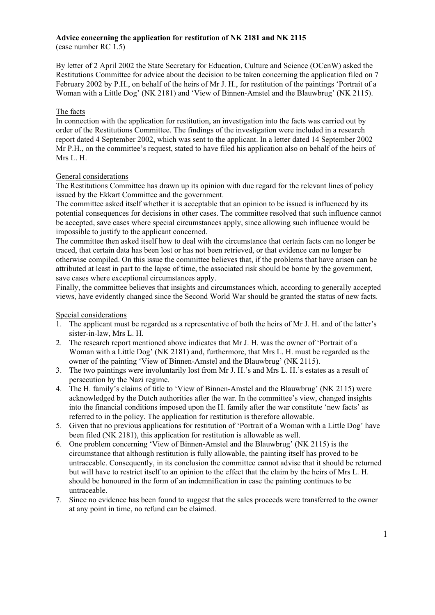#### **Advice concerning the application for restitution of NK 2181 and NK 2115** (case number RC 1.5)

By letter of 2 April 2002 the State Secretary for Education, Culture and Science (OCenW) asked the Restitutions Committee for advice about the decision to be taken concerning the application filed on 7 February 2002 by P.H., on behalf of the heirs of Mr J. H., for restitution of the paintings 'Portrait of a Woman with a Little Dog' (NK 2181) and 'View of Binnen-Amstel and the Blauwbrug' (NK 2115).

## The facts

In connection with the application for restitution, an investigation into the facts was carried out by order of the Restitutions Committee. The findings of the investigation were included in a research report dated 4 September 2002, which was sent to the applicant. In a letter dated 14 September 2002 Mr P.H., on the committee's request, stated to have filed his application also on behalf of the heirs of Mrs L. H.

## General considerations

The Restitutions Committee has drawn up its opinion with due regard for the relevant lines of policy issued by the Ekkart Committee and the government.

The committee asked itself whether it is acceptable that an opinion to be issued is influenced by its potential consequences for decisions in other cases. The committee resolved that such influence cannot be accepted, save cases where special circumstances apply, since allowing such influence would be impossible to justify to the applicant concerned.

The committee then asked itself how to deal with the circumstance that certain facts can no longer be traced, that certain data has been lost or has not been retrieved, or that evidence can no longer be otherwise compiled. On this issue the committee believes that, if the problems that have arisen can be attributed at least in part to the lapse of time, the associated risk should be borne by the government, save cases where exceptional circumstances apply.

Finally, the committee believes that insights and circumstances which, according to generally accepted views, have evidently changed since the Second World War should be granted the status of new facts.

## Special considerations

- 1. The applicant must be regarded as a representative of both the heirs of Mr J. H. and of the latter's sister-in-law, Mrs L. H.
- 2. The research report mentioned above indicates that Mr J. H. was the owner of 'Portrait of a Woman with a Little Dog' (NK 2181) and, furthermore, that Mrs L. H. must be regarded as the owner of the painting 'View of Binnen-Amstel and the Blauwbrug' (NK 2115).
- 3. The two paintings were involuntarily lost from Mr J. H.'s and Mrs L. H.'s estates as a result of persecution by the Nazi regime.
- 4. The H. family's claims of title to 'View of Binnen-Amstel and the Blauwbrug' (NK 2115) were acknowledged by the Dutch authorities after the war. In the committee's view, changed insights into the financial conditions imposed upon the H. family after the war constitute 'new facts' as referred to in the policy. The application for restitution is therefore allowable.
- 5. Given that no previous applications for restitution of 'Portrait of a Woman with a Little Dog' have been filed (NK 2181), this application for restitution is allowable as well.
- 6. One problem concerning 'View of Binnen-Amstel and the Blauwbrug' (NK 2115) is the circumstance that although restitution is fully allowable, the painting itself has proved to be untraceable. Consequently, in its conclusion the committee cannot advise that it should be returned but will have to restrict itself to an opinion to the effect that the claim by the heirs of Mrs L. H. should be honoured in the form of an indemnification in case the painting continues to be untraceable.
- 7. Since no evidence has been found to suggest that the sales proceeds were transferred to the owner at any point in time, no refund can be claimed.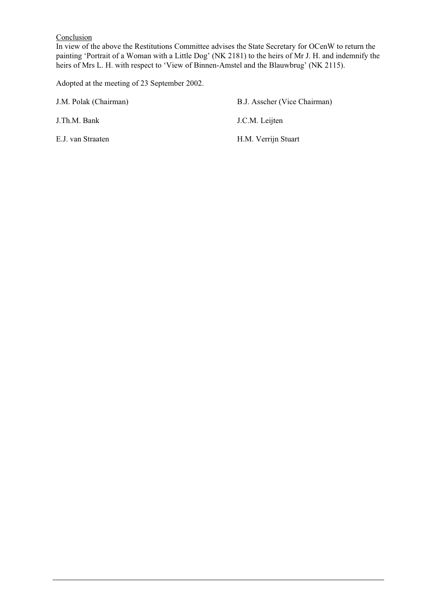## **Conclusion**

In view of the above the Restitutions Committee advises the State Secretary for OCenW to return the painting 'Portrait of a Woman with a Little Dog' (NK 2181) to the heirs of Mr J. H. and indemnify the heirs of Mrs L. H. with respect to 'View of Binnen-Amstel and the Blauwbrug' (NK 2115).

Adopted at the meeting of 23 September 2002.

J.M. Polak (Chairman) B.J. Asscher (Vice Chairman) J.Th.M. Bank J.C.M. Leijten E.J. van Straaten H.M. Verrijn Stuart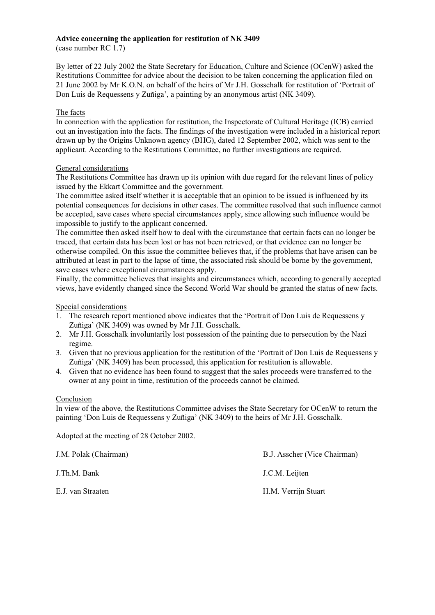# **Advice concerning the application for restitution of NK 3409**

(case number RC 1.7)

By letter of 22 July 2002 the State Secretary for Education, Culture and Science (OCenW) asked the Restitutions Committee for advice about the decision to be taken concerning the application filed on 21 June 2002 by Mr K.O.N. on behalf of the heirs of Mr J.H. Gosschalk for restitution of 'Portrait of Don Luis de Requessens y Zuñiga', a painting by an anonymous artist (NK 3409).

## The facts

In connection with the application for restitution, the Inspectorate of Cultural Heritage (ICB) carried out an investigation into the facts. The findings of the investigation were included in a historical report drawn up by the Origins Unknown agency (BHG), dated 12 September 2002, which was sent to the applicant. According to the Restitutions Committee, no further investigations are required.

## General considerations

The Restitutions Committee has drawn up its opinion with due regard for the relevant lines of policy issued by the Ekkart Committee and the government.

The committee asked itself whether it is acceptable that an opinion to be issued is influenced by its potential consequences for decisions in other cases. The committee resolved that such influence cannot be accepted, save cases where special circumstances apply, since allowing such influence would be impossible to justify to the applicant concerned.

The committee then asked itself how to deal with the circumstance that certain facts can no longer be traced, that certain data has been lost or has not been retrieved, or that evidence can no longer be otherwise compiled. On this issue the committee believes that, if the problems that have arisen can be attributed at least in part to the lapse of time, the associated risk should be borne by the government, save cases where exceptional circumstances apply.

Finally, the committee believes that insights and circumstances which, according to generally accepted views, have evidently changed since the Second World War should be granted the status of new facts.

## Special considerations

- 1. The research report mentioned above indicates that the 'Portrait of Don Luis de Requessens y Zuñiga' (NK 3409) was owned by Mr J.H. Gosschalk.
- 2. Mr J.H. Gosschalk involuntarily lost possession of the painting due to persecution by the Nazi regime.
- 3. Given that no previous application for the restitution of the 'Portrait of Don Luis de Requessens y Zuñiga' (NK 3409) has been processed, this application for restitution is allowable.
- 4. Given that no evidence has been found to suggest that the sales proceeds were transferred to the owner at any point in time, restitution of the proceeds cannot be claimed.

## Conclusion

In view of the above, the Restitutions Committee advises the State Secretary for OCenW to return the painting 'Don Luis de Requessens y Zuñiga' (NK 3409) to the heirs of Mr J.H. Gosschalk.

Adopted at the meeting of 28 October 2002.

J.M. Polak (Chairman) B.J. Asscher (Vice Chairman)

E.J. van Straaten H.M. Verrijn Stuart

J.Th.M. Bank J.C.M. Leijten